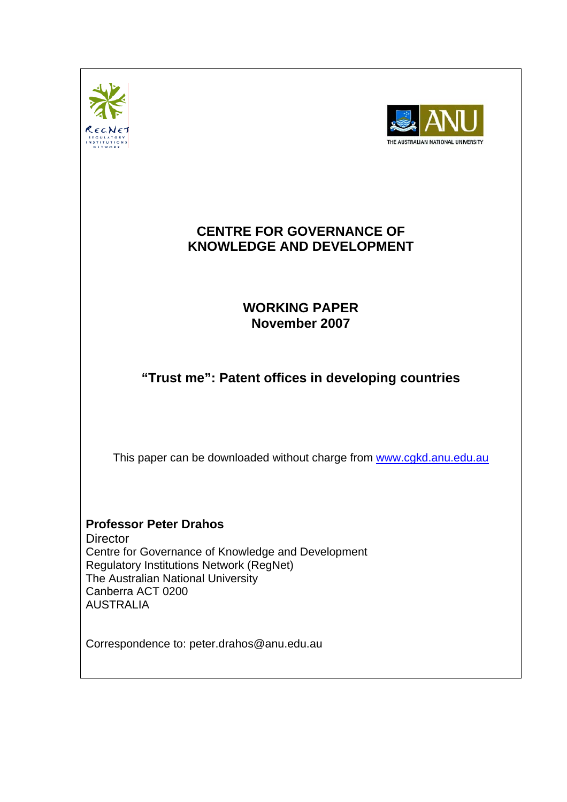



# **CENTRE FOR GOVERNANCE OF KNOWLEDGE AND DEVELOPMENT**

# **WORKING PAPER November 2007**

# **"Trust me": Patent offices in developing countries**

This paper can be downloaded without charge from [www.cgkd.anu.edu.au](http://www.cgkd.anu.edu.au/)

# **Professor Peter Drahos**

**Director** Centre for Governance of Knowledge and Development Regulatory Institutions Network (RegNet) The Australian National University Canberra ACT 0200 AUSTRALIA

Correspondence to: peter.drahos@anu.edu.au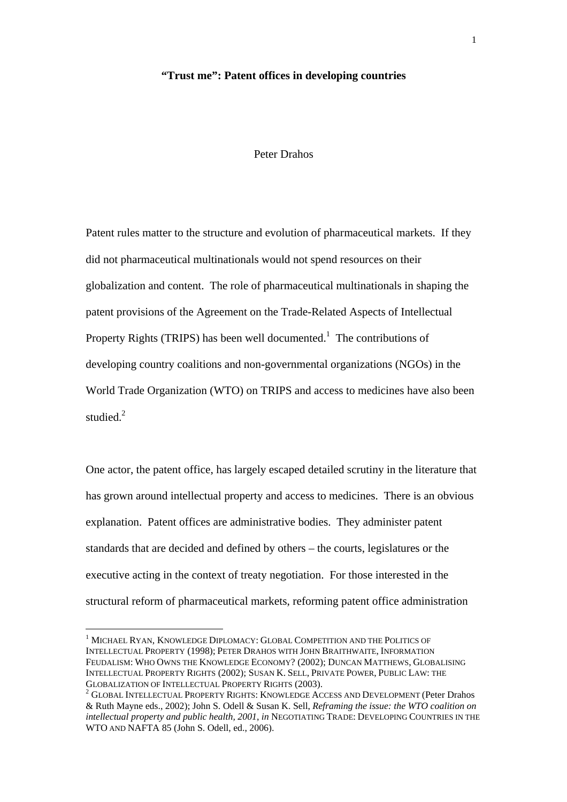#### **"Trust me": Patent offices in developing countries**

## Peter Drahos

Patent rules matter to the structure and evolution of pharmaceutical markets. If they did not pharmaceutical multinationals would not spend resources on their globalization and content. The role of pharmaceutical multinationals in shaping the patent provisions of the Agreement on the Trade-Related Aspects of Intellectual Property Rights (TRIPS) has been well documented.<sup>1</sup> The contributions of developing country coalitions and non-governmental organizations (NGOs) in the World Trade Organization (WTO) on TRIPS and access to medicines have also been studied. $2$ 

One actor, the patent office, has largely escaped detailed scrutiny in the literature that has grown around intellectual property and access to medicines. There is an obvious explanation. Patent offices are administrative bodies. They administer patent standards that are decided and defined by others – the courts, legislatures or the executive acting in the context of treaty negotiation. For those interested in the structural reform of pharmaceutical markets, reforming patent office administration

<span id="page-1-0"></span><sup>&</sup>lt;sup>1</sup> MICHAEL RYAN, KNOWLEDGE DIPLOMACY: GLOBAL COMPETITION AND THE POLITICS OF INTELLECTUAL PROPERTY (1998); PETER DRAHOS WITH JOHN BRAITHWAITE, INFORMATION FEUDALISM: WHO OWNS THE KNOWLEDGE ECONOMY? (2002); DUNCAN MATTHEWS, GLOBALISING INTELLECTUAL PROPERTY RIGHTS (2002); SUSAN K. SELL, PRIVATE POWER, PUBLIC LAW: THE GLOBALIZATION OF INTELLECTUAL PROPERTY RIGHTS (2003).

<span id="page-1-1"></span> $^2$  GLOBAL INTELLECTUAL PROPERTY RIGHTS: KNOWLEDGE ACCESS AND DEVELOPMENT (Peter Drahos & Ruth Mayne eds., 2002); John S. Odell & Susan K. Sell, *Reframing the issue: the WTO coalition on intellectual property and public health, 2001*, *in* NEGOTIATING TRADE: DEVELOPING COUNTRIES IN THE WTO AND NAFTA 85 (John S. Odell, ed., 2006).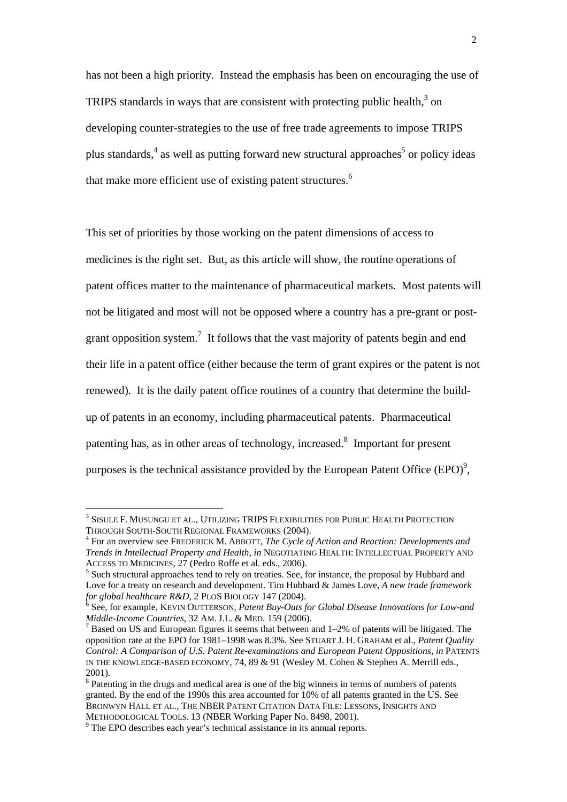has not been a high priority. Instead the emphasis has been on encouraging the use of TRIPS standards in ways that are consistent with protecting public health, $3$  on developing counter-strategies to the use of free trade agreements to impose TRIPS plus standards,<sup>4</sup> as well as putting forward new structural approaches<sup>5</sup> or policy ideas that make more efficient use of existing patent structures.<sup>6</sup>

This set of priorities by those working on the patent dimensions of access to medicines is the right set. But, as this article will show, the routine operations of patent offices matter to the maintenance of pharmaceutical markets. Most patents will not be litigated and most will not be opposed where a country has a pre-grant or post-grant opposition system.<sup>[7](#page-2-4)</sup> It follows that the vast majority of patents begin and end their life in a patent office (either because the term of grant expires or the patent is not renewed). It is the daily patent office routines of a country that determine the buildup of patents in an economy, including pharmaceutical patents. Pharmaceutical patenting has, as in other areas of technology, increased.<sup>[8](#page-2-5)</sup> Important for present purposes is the technical assistance provided by the European Patent Office  $(EPO)^9$  $(EPO)^9$ ,

<span id="page-2-0"></span> $^3$  Sisule F. Musungu et al., Utilizing TRIPS Flexibilities for Public Health Protection THROUGH SOUTH-SOUTH REGIONAL FRAMEWORKS (2004). 4

<span id="page-2-1"></span>For an overview see FREDERICK M. ABBOTT, *The Cycle of Action and Reaction: Developments and Trends in Intellectual Property and Health, in* NEGOTIATING HEALTH: INTELLECTUAL PROPERTY AND ACCESS TO MEDICINES, 27 (Pedro Roffe et al. eds., 2006).

<span id="page-2-2"></span><sup>&</sup>lt;sup>5</sup> Such structural approaches tend to rely on treaties. See, for instance, the proposal by Hubbard and Love for a treaty on research and development. Tim Hubbard & James Love, *A new trade framework for global healthcare R&D*, 2 PLOS BIOLOGY 147 (2004).

<span id="page-2-3"></span>See, for example, KEVIN OUTTERSON, *Patent Buy-Outs for Global Disease Innovations for Low-and Middle-Income Countries*, 32 AM. J.L. & MED. 159 (2006). 7

<span id="page-2-4"></span><sup>&</sup>lt;sup>7</sup> Based on US and European figures it seems that between and  $1-2%$  of patents will be litigated. The opposition rate at the EPO for 1981–1998 was 8.3%. See STUART J. H. GRAHAM et al., *Patent Quality Control: A Comparison of U.S. Patent Re-examinations and European Patent Oppositions, in* PATENTS IN THE KNOWLEDGE-BASED ECONOMY, 74, 89 & 91 (Wesley M. Cohen & Stephen A. Merrill eds.,  $2001$ ).

<span id="page-2-5"></span><sup>&</sup>lt;sup>8</sup> Patenting in the drugs and medical area is one of the big winners in terms of numbers of patents granted. By the end of the 1990s this area accounted for 10% of all patents granted in the US. See BRONWYN HALL ET AL., THE NBER PATENT [CITATION DATA FILE:](http://papers.nber.org/papers/w8498.pdf) LESSONS, INSIGHTS AND METHODOLOGICAL TOOLS. [13 \(NBER Working Paper No. 8498, 2001\).](http://papers.nber.org/papers/w8498.pdf)

<span id="page-2-6"></span><sup>&</sup>lt;sup>9</sup> The EPO describes each year's technical assistance in its annual reports.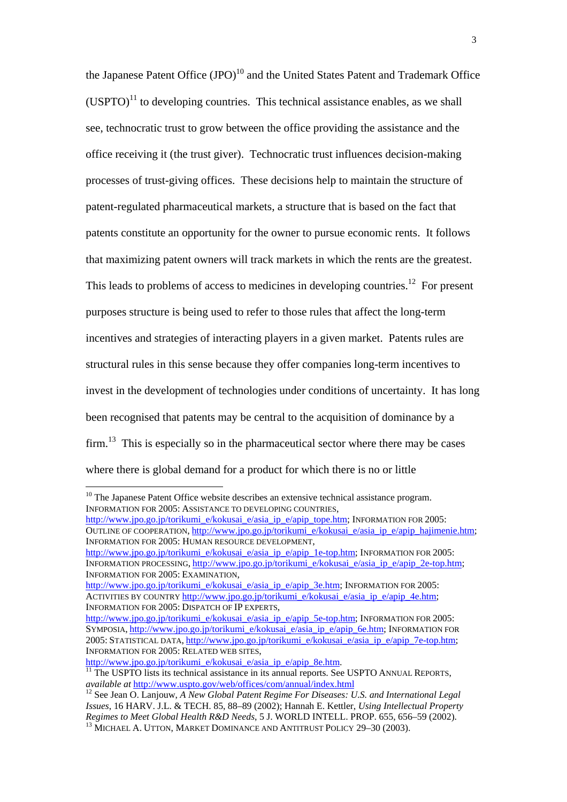the Japanese Patent Office  $(JPO)^{10}$  and the United States Patent and Trademark Office  $(USPTO)<sup>11</sup>$  to developing countries. This technical assistance enables, as we shall see, technocratic trust to grow between the office providing the assistance and the office receiving it (the trust giver). Technocratic trust influences decision-making processes of trust-giving offices. These decisions help to maintain the structure of patent-regulated pharmaceutical markets, a structure that is based on the fact that patents constitute an opportunity for the owner to pursue economic rents. It follows that maximizing patent owners will track markets in which the rents are the greatest. This leads to problems of access to medicines in developing countries.<sup>12</sup> For present purposes structure is being used to refer to those rules that affect the long-term incentives and strategies of interacting players in a given market. Patents rules are structural rules in this sense because they offer companies long-term incentives to invest in the development of technologies under conditions of uncertainty. It has long been recognised that patents may be central to the acquisition of dominance by a  $firm.<sup>13</sup>$  This is especially so in the pharmaceutical sector where there may be cases where there is global demand for a product for which there is no or little

<span id="page-3-0"></span> $10$  The Japanese Patent Office website describes an extensive technical assistance program. INFORMATION FOR 2005: ASSISTANCE TO DEVELOPING COUNTRIES,

[http://www.jpo.go.jp/torikumi\\_e/kokusai\\_e/asia\\_ip\\_e/apip\\_tope.htm](http://www.jpo.go.jp/torikumi_e/kokusai_e/asia_ip_e/apip_tope.htm); INFORMATION FOR 2005: OUTLINE OF COOPERATION, [http://www.jpo.go.jp/torikumi\\_e/kokusai\\_e/asia\\_ip\\_e/apip\\_hajimenie.htm;](http://www.jpo.go.jp/torikumi_e/kokusai_e/asia_ip_e/apip_hajimenie.htm) INFORMATION FOR 2005: HUMAN RESOURCE DEVELOPMENT,

[http://www.jpo.go.jp/torikumi\\_e/kokusai\\_e/asia\\_ip\\_e/apip\\_1e-top.htm;](http://www.jpo.go.jp/torikumi_e/kokusai_e/asia_ip_e/apip_1e-top.htm) INFORMATION FOR 2005: INFORMATION PROCESSING, [http://www.jpo.go.jp/torikumi\\_e/kokusai\\_e/asia\\_ip\\_e/apip\\_2e-top.htm;](http://www.jpo.go.jp/torikumi_e/kokusai_e/asia_ip_e/apip_2e-top.htm) INFORMATION FOR 2005: EXAMINATION,

[http://www.jpo.go.jp/torikumi\\_e/kokusai\\_e/asia\\_ip\\_e/apip\\_3e.htm;](http://www.jpo.go.jp/torikumi_e/kokusai_e/asia_ip_e/apip_3e.htm) INFORMATION FOR 2005: ACTIVITIES BY COUNTRY [http://www.jpo.go.jp/torikumi\\_e/kokusai\\_e/asia\\_ip\\_e/apip\\_4e.htm;](http://www.jpo.go.jp/torikumi_e/kokusai_e/asia_ip_e/apip_4e.htm) INFORMATION FOR 2005: DISPATCH OF IP EXPERTS,

[http://www.jpo.go.jp/torikumi\\_e/kokusai\\_e/asia\\_ip\\_e/apip\\_5e-top.htm;](http://www.jpo.go.jp/torikumi_e/kokusai_e/asia_ip_e/apip_5e-top.htm) INFORMATION FOR 2005: SYMPOSIA, [http://www.jpo.go.jp/torikumi\\_e/kokusai\\_e/asia\\_ip\\_e/apip\\_6e.htm;](http://www.jpo.go.jp/torikumi_e/kokusai_e/asia_ip_e/apip_6e.htm) INFORMATION FOR 2005: STATISTICAL DATA, [http://www.jpo.go.jp/torikumi\\_e/kokusai\\_e/asia\\_ip\\_e/apip\\_7e-top.htm](http://www.jpo.go.jp/torikumi_e/kokusai_e/asia_ip_e/apip_7e-top.htm); INFORMATION FOR 2005: RELATED WEB SITES,<br>http://www.jpo.go.jp/torikumi\_e/kokusai\_e/asia\_ip\_e/apip\_8e.htm.

<span id="page-3-1"></span><sup>&</sup>lt;sup>[11](http://www.jpo.go.jp/torikumi_e/kokusai_e/asia_ip_e/apip_8e.htm)</sup> The USPTO lists its technical assistance in its annual reports. See USPTO ANNUAL REPORTS, *available at http://www.uspto.gov/web/offices/com/annual/index.html* 

<span id="page-3-3"></span><span id="page-3-2"></span><sup>&</sup>lt;sup>12</sup> See Jean O. Lanjouw, *A New Global Patent Regime For Diseases: U.S. and International Legal Issues*, 16 HARV. J.L. & TECH. 85, 88–89 (2002); Hannah E. Kettler, *Using Intellectual Property Regimes to Meet Global Health R&D Needs*, 5 J. WORLD INTELL. PROP. 655, 656–59 (2002).<br><sup>13</sup> MICHAEL A. UTTON, MARKET DOMINANCE AND ANTITRUST POLICY 29–30 (2003).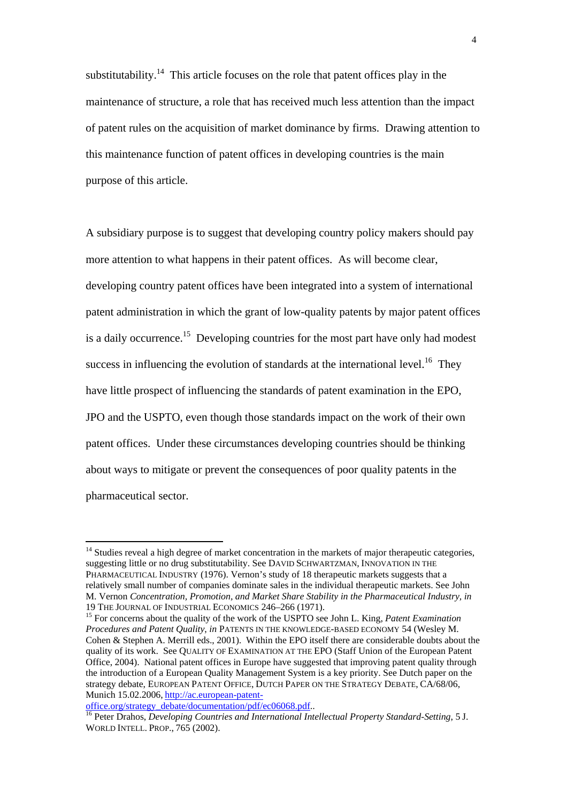substitutability.<sup>14</sup> This article focuses on the role that patent offices play in the maintenance of structure, a role that has received much less attention than the impact of patent rules on the acquisition of market dominance by firms. Drawing attention to this maintenance function of patent offices in developing countries is the main purpose of this article.

A subsidiary purpose is to suggest that developing country policy makers should pay more attention to what happens in their patent offices. As will become clear, developing country patent offices have been integrated into a system of international patent administration in which the grant of low-quality patents by major patent offices is a daily occurrence.<sup>15</sup> Developing countries for the most part have only had modest success in influencing the evolution of standards at the international level.<sup>16</sup> They have little prospect of influencing the standards of patent examination in the EPO, JPO and the USPTO, even though those standards impact on the work of their own patent offices. Under these circumstances developing countries should be thinking about ways to mitigate or prevent the consequences of poor quality patents in the pharmaceutical sector.

<span id="page-4-2"></span>

<span id="page-4-0"></span><sup>&</sup>lt;sup>14</sup> Studies reveal a high degree of market concentration in the markets of major therapeutic categories, suggesting little or no drug substitutability. See DAVID SCHWARTZMAN, INNOVATION IN THE PHARMACEUTICAL INDUSTRY (1976). Vernon's study of 18 therapeutic markets suggests that a relatively small number of companies dominate sales in the individual therapeutic markets. See John M. Vernon *Concentration, Promotion, and Market Share Stability in the Pharmaceutical Industry, in*

<span id="page-4-1"></span><sup>19</sup> THE JOURNAL OF INDUSTRIAL ECONOMICS 246–266 (1971). 15 For concerns about the quality of the work of the USPTO see John L. King, *Patent Examination Procedures and Patent Quality*, *in* PATENTS IN THE KNOWLEDGE-BASED ECONOMY 54 (Wesley M. Cohen & Stephen A. Merrill eds., 2001). Within the EPO itself there are considerable doubts about the quality of its work. See QUALITY OF EXAMINATION AT THE EPO (Staff Union of the European Patent Office, 2004). National patent offices in Europe have suggested that improving patent quality through the introduction of a European Quality Management System is a key priority. See Dutch paper on the strategy debate, EUROPEAN PATENT OFFICE, DUTCH PAPER ON THE STRATEGY DEBATE, CA/68/06, Munich 15.02.2006, [http://ac.european-patent-](http://ac.european-patent-office.org/strategy_debate/documentation/pdf/ec06068.pdf)

[office.org/strategy\\_debate/documentation/pdf/ec06068.pdf.](http://ac.european-patent-office.org/strategy_debate/documentation/pdf/ec06068.pdf). [16](http://ac.european-patent-office.org/strategy_debate/documentation/pdf/ec06068.pdf) Peter Drahos, *Developing Countries and International Intellectual Property Standard-Setting*, 5 J. WORLD INTELL. PROP., 765 (2002).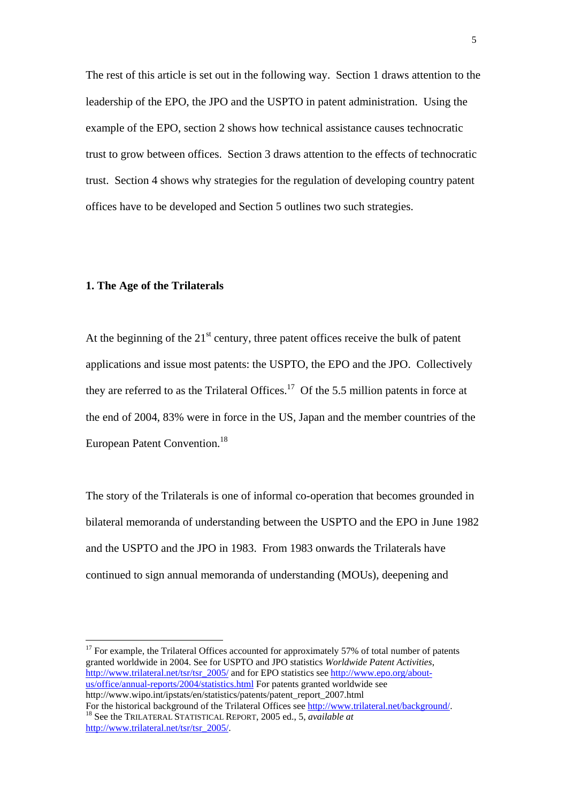The rest of this article is set out in the following way. Section 1 draws attention to the leadership of the EPO, the JPO and the USPTO in patent administration. Using the example of the EPO, section 2 shows how technical assistance causes technocratic trust to grow between offices. Section 3 draws attention to the effects of technocratic trust. Section 4 shows why strategies for the regulation of developing country patent offices have to be developed and Section 5 outlines two such strategies.

#### **1. The Age of the Trilaterals**

 $\overline{a}$ 

At the beginning of the  $21<sup>st</sup>$  century, three patent offices receive the bulk of patent applications and issue most patents: the USPTO, the EPO and the JPO. Collectively they are referred to as the Trilateral Offices.<sup>17</sup> Of the 5.5 million patents in force at the end of 2004, 83% were in force in the US, Japan and the member countries of the European Patent Convention.<sup>18</sup>

The story of the Trilaterals is one of informal co-operation that becomes grounded in bilateral memoranda of understanding between the USPTO and the EPO in June 1982 and the USPTO and the JPO in 1983. From 1983 onwards the Trilaterals have continued to sign annual memoranda of understanding (MOUs), deepening and

<span id="page-5-0"></span> $17$  For example, the Trilateral Offices accounted for approximately 57% of total number of patents granted worldwide in 2004. See for USPTO and JPO statistics *Worldwide Patent Activities*, [http://www.trilateral.net/tsr/tsr\\_2005/](http://www.trilateral.net/tsr/tsr_2005/) and for EPO statistics see [http://www.epo.org/about](http://www.epo.org/about-us/office/annual-reports/2004/statistics.html)[us/office/annual-reports/2004/statistics.html](http://www.epo.org/about-us/office/annual-reports/2004/statistics.html) For patents granted worldwide see http://www.wipo.int/ipstats/en/statistics/patents/patent\_report\_2007.html For the historical background of the Trilateral Offices see<http://www.trilateral.net/background/>. 18 See the TRILATERAL STATISTICAL REPORT, 2005 ed., 5, *available at*

<span id="page-5-1"></span>[http://www.trilateral.net/tsr/tsr\\_2005/.](http://www.trilateral.net/tsr/tsr_2005/)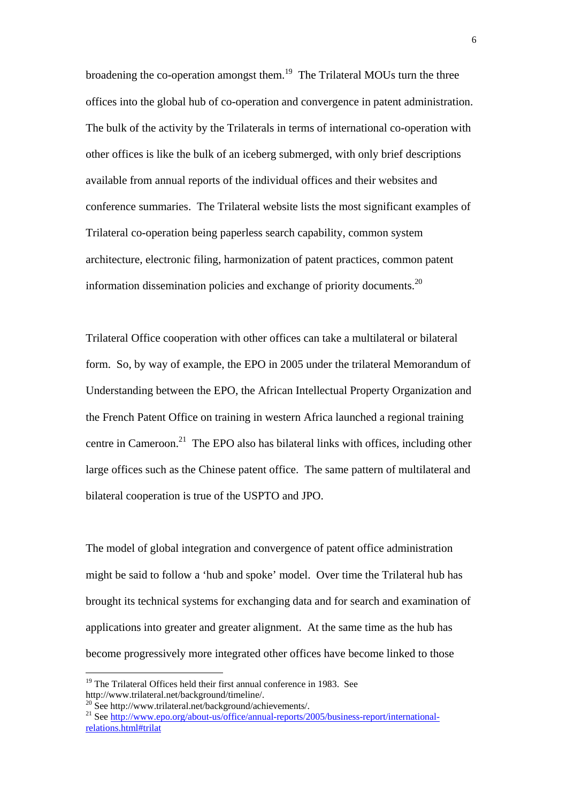broadening the co-operation amongst them.<sup>19</sup> The Trilateral MOUs turn the three offices into the global hub of co-operation and convergence in patent administration. The bulk of the activity by the Trilaterals in terms of international co-operation with other offices is like the bulk of an iceberg submerged, with only brief descriptions available from annual reports of the individual offices and their websites and conference summaries. The Trilateral website lists the most significant examples of Trilateral co-operation being paperless search capability, common system architecture, electronic filing, harmonization of patent practices, common patent information dissemination policies and exchange of priority documents.[20](#page-6-1)

Trilateral Office cooperation with other offices can take a multilateral or bilateral form. So, by way of example, the EPO in 2005 under the trilateral Memorandum of Understanding between the EPO, the African Intellectual Property Organization and the French Patent Office on training in western Africa launched a regional training centre in Cameroon. [21](#page-6-2) The EPO also has bilateral links with offices, including other large offices such as the Chinese patent office. The same pattern of multilateral and bilateral cooperation is true of the USPTO and JPO.

The model of global integration and convergence of patent office administration might be said to follow a 'hub and spoke' model. Over time the Trilateral hub has brought its technical systems for exchanging data and for search and examination of applications into greater and greater alignment. At the same time as the hub has become progressively more integrated other offices have become linked to those

<span id="page-6-0"></span><sup>&</sup>lt;sup>19</sup> The Trilateral Offices held their first annual conference in 1983. See http://www.trilateral.net/background/timeline/.

<span id="page-6-2"></span><span id="page-6-1"></span>

<sup>&</sup>lt;sup>20</sup> See http://www.trilateral.net/background/achievements/.<br><sup>21</sup> See http://www.epo.org/about-us/office/annual-reports/2005/business-report/internationalrelations.html#trilat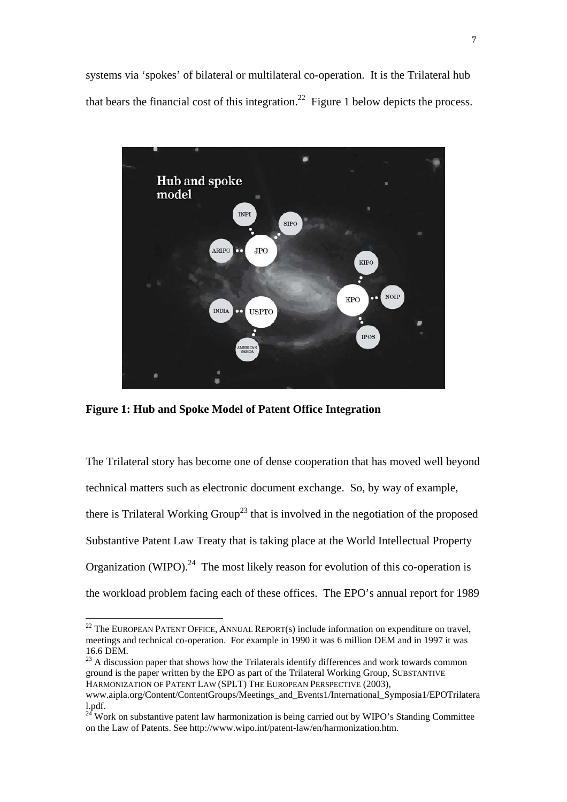systems via 'spokes' of bilateral or multilateral co-operation. It is the Trilateral hub that bears the financial cost of this integration.<sup>22</sup> Figure 1 below depicts the process.



**Figure 1: Hub and Spoke Model of Patent Office Integration** 

 $\overline{a}$ 

The Trilateral story has become one of dense cooperation that has moved well beyond technical matters such as electronic document exchange. So, by way of example, there is Trilateral Working  $Group^{23}$  that is involved in the negotiation of the proposed Substantive Patent Law Treaty that is taking place at the World Intellectual Property Organization (WIPO).<sup>24</sup> The most likely reason for evolution of this co-operation is the workload problem facing each of these offices. The EPO's annual report for 1989

<span id="page-7-0"></span><sup>&</sup>lt;sup>22</sup> The EUROPEAN PATENT OFFICE, ANNUAL REPORT(s) include information on expenditure on travel, meetings and technical co-operation. For example in 1990 it was 6 million DEM and in 1997 it was 16.6 DEM.<br><sup>23</sup> A discussion paper that shows how the Trilaterals identify differences and work towards common

<span id="page-7-1"></span>ground is the paper written by the EPO as part of the Trilateral Working Group, SUBSTANTIVE HARMONIZATION OF PATENT LAW (SPLT) THE EUROPEAN PERSPECTIVE (2003), www.aipla.org/Content/ContentGroups/Meetings\_and\_Events1/International\_Symposia1/EPOTrilatera<br>1.pdf.<br><sup>24</sup> Work on substantive patent law harmonization is being comind out by WIDO's Secretive Graphitector

<span id="page-7-2"></span>Work on substantive patent law harmonization is being carried out by WIPO's Standing Committee on the Law of Patents. See http://www.wipo.int/patent-law/en/harmonization.htm.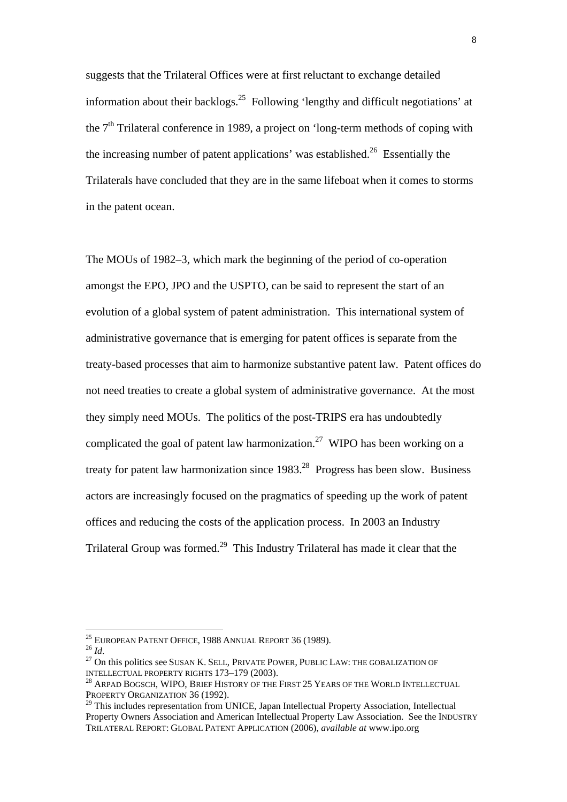suggests that the Trilateral Offices were at first reluctant to exchange detailed information about their backlogs.<sup>25</sup> Following 'lengthy and difficult negotiations' at the  $7<sup>th</sup>$  Trilateral conference in 1989, a project on 'long-term methods of coping with the increasing number of patent applications' was established.<sup>26</sup> Essentially the Trilaterals have concluded that they are in the same lifeboat when it comes to storms in the patent ocean.

The MOUs of 1982–3, which mark the beginning of the period of co-operation amongst the EPO, JPO and the USPTO, can be said to represent the start of an evolution of a global system of patent administration. This international system of administrative governance that is emerging for patent offices is separate from the treaty-based processes that aim to harmonize substantive patent law. Patent offices do not need treaties to create a global system of administrative governance. At the most they simply need MOUs. The politics of the post-TRIPS era has undoubtedly complicated the goal of patent law harmonization.<sup>27</sup> WIPO has been working on a treaty for patent law harmonization since  $1983<sup>28</sup>$  Progress has been slow. Business actors are increasingly focused on the pragmatics of speeding up the work of patent offices and reducing the costs of the application process. In 2003 an Industry Trilateral Group was formed.<sup>29</sup> This Industry Trilateral has made it clear that the

<span id="page-8-0"></span>

<span id="page-8-2"></span><span id="page-8-1"></span>

<sup>&</sup>lt;sup>25</sup> EUROPEAN PATENT OFFICE, 1988 ANNUAL REPORT 36 (1989).<br><sup>26</sup> *Id*. <sup>27</sup> On this politics see SUSAN K. SELL, PRIVATE POWER, PUBLIC LAW: THE GOBALIZATION OF INTELLECTUAL PROPERTY RIGHTS 173–179 (2003).

<span id="page-8-3"></span> $^{28}$  Arpad Bogsch, WIPO, Brief History of the First 25 Years of the World Intellectual PROPERTY ORGANIZATION 36 (1992).<br><sup>29</sup> This includes representation from UNICE, Japan Intellectual Property Association, Intellectual

<span id="page-8-4"></span>Property Owners Association and American Intellectual Property Law Association. See the INDUSTRY TRILATERAL REPORT: GLOBAL PATENT APPLICATION (2006), *available at* www.ipo.org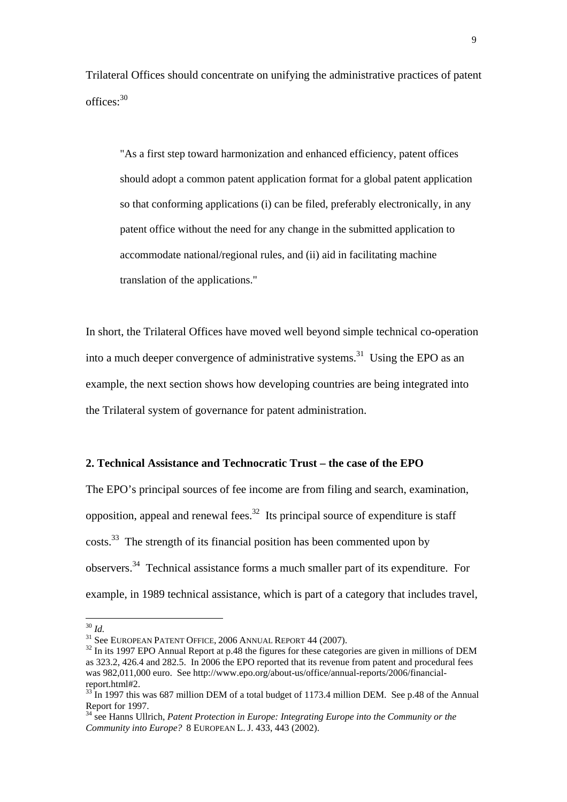Trilateral Offices should concentrate on unifying the administrative practices of patent offices:<sup>[30](#page-9-0)</sup>

"As a first step toward harmonization and enhanced efficiency, patent offices should adopt a common patent application format for a global patent application so that conforming applications (i) can be filed, preferably electronically, in any patent office without the need for any change in the submitted application to accommodate national/regional rules, and (ii) aid in facilitating machine translation of the applications."

In short, the Trilateral Offices have moved well beyond simple technical co-operation into a much deeper convergence of administrative systems.<sup>31</sup> Using the EPO as an example, the next section shows how developing countries are being integrated into the Trilateral system of governance for patent administration.

## **2. Technical Assistance and Technocratic Trust – the case of the EPO**

The EPO's principal sources of fee income are from filing and search, examination, opposition, appeal and renewal fees.<sup>32</sup> Its principal source of expenditure is staff costs[.33](#page-9-3) The strength of its financial position has been commented upon by observers[.34](#page-9-4) Technical assistance forms a much smaller part of its expenditure. For example, in 1989 technical assistance, which is part of a category that includes travel,

<span id="page-9-0"></span> $30$  *Id.* 

<span id="page-9-2"></span>

<span id="page-9-1"></span><sup>&</sup>lt;sup>31</sup> See EUROPEAN PATENT OFFICE, 2006 ANNUAL REPORT 44 (2007).<br><sup>32</sup> In its 1997 EPO Annual Report at p.48 the figures for these categories are given in millions of DEM as 323.2, 426.4 and 282.5. In 2006 the EPO reported that its revenue from patent and procedural fees was 982,011,000 euro. See http://www.epo.org/about-us/office/annual-reports/2006/financialreport.html#2.<br><sup>33</sup> In 1997 this was 687 million DEM of a total budget of 1173.4 million DEM. See p.48 of the Annual

<span id="page-9-3"></span>Report for 1997.<br><sup>34</sup> see Hanns Ullrich, *Patent Protection in Europe: Integrating Europe into the Community or the* 

<span id="page-9-4"></span>*Community into Europe?* 8 EUROPEAN L. J. 433, 443 (2002).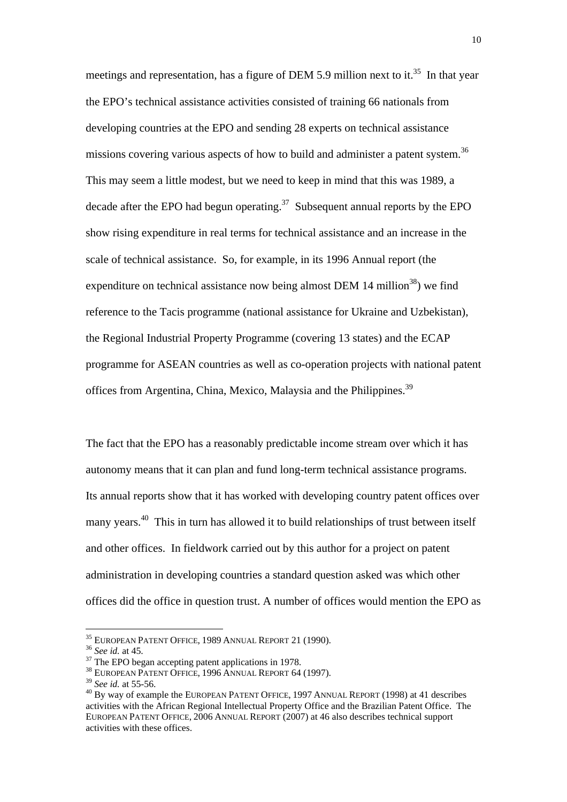meetings and representation, has a figure of DEM 5.9 million next to it.<sup>35</sup> In that year the EPO's technical assistance activities consisted of training 66 nationals from developing countries at the EPO and sending 28 experts on technical assistance missions covering various aspects of how to build and administer a patent system.<sup>36</sup> This may seem a little modest, but we need to keep in mind that this was 1989, a decade after the EPO had begun operating.<sup>37</sup> Subsequent annual reports by the EPO show rising expenditure in real terms for technical assistance and an increase in the scale of technical assistance. So, for example, in its 1996 Annual report (the expenditure on technical assistance now being almost DEM 14 million<sup>38</sup>) we find reference to the Tacis programme (national assistance for Ukraine and Uzbekistan), the Regional Industrial Property Programme (covering 13 states) and the ECAP programme for ASEAN countries as well as co-operation projects with national patent offices from Argentina, China, Mexico, Malaysia and the Philippines.<sup>39</sup>

The fact that the EPO has a reasonably predictable income stream over which it has autonomy means that it can plan and fund long-term technical assistance programs. Its annual reports show that it has worked with developing country patent offices over many years.<sup>40</sup> This in turn has allowed it to build relationships of trust between itself and other offices. In fieldwork carried out by this author for a project on patent administration in developing countries a standard question asked was which other offices did the office in question trust. A number of offices would mention the EPO as

<span id="page-10-0"></span>

<span id="page-10-1"></span>

<span id="page-10-2"></span>

<span id="page-10-3"></span>

<span id="page-10-5"></span><span id="page-10-4"></span>

<sup>&</sup>lt;sup>35</sup> EUROPEAN PATENT OFFICE, 1989 ANNUAL REPORT 21 (1990).<br><sup>36</sup> See id. at 45.<br><sup>37</sup> The EPO began accepting patent applications in 1978.<br><sup>38</sup> EUROPEAN PATENT OFFICE, 1996 ANNUAL REPORT 64 (1997).<br><sup>39</sup> See id. at 55-56.<br><sup>4</sup> activities with the African Regional Intellectual Property Office and the Brazilian Patent Office. The EUROPEAN PATENT OFFICE, 2006 ANNUAL REPORT (2007) at 46 also describes technical support activities with these offices.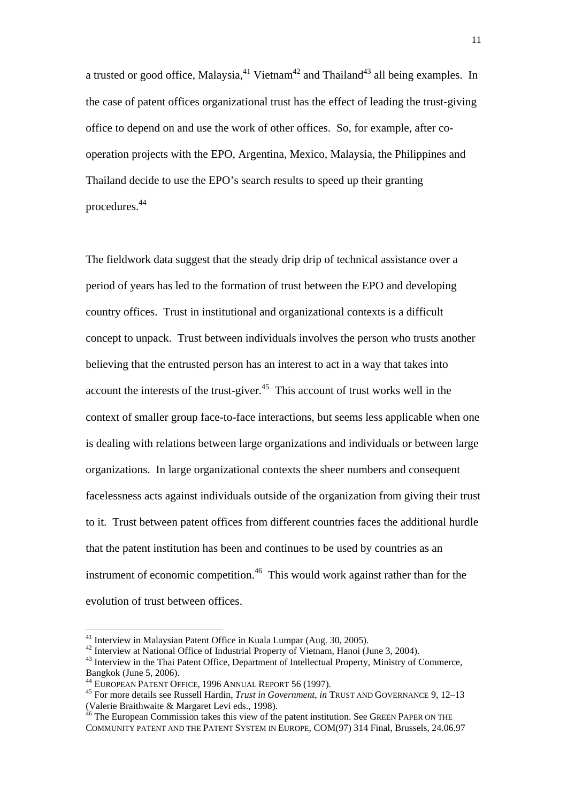a trusted or good office, Malaysia,  $41$  Vietnam<sup>42</sup> and Thailand<sup>43</sup> all being examples. In the case of patent offices organizational trust has the effect of leading the trust-giving office to depend on and use the work of other offices. So, for example, after cooperation projects with the EPO, Argentina, Mexico, Malaysia, the Philippines and Thailand decide to use the EPO's search results to speed up their granting procedures.[44](#page-11-3) 

The fieldwork data suggest that the steady drip drip of technical assistance over a period of years has led to the formation of trust between the EPO and developing country offices. Trust in institutional and organizational contexts is a difficult concept to unpack. Trust between individuals involves the person who trusts another believing that the entrusted person has an interest to act in a way that takes into account the interests of the trust-giver.<sup>45</sup> This account of trust works well in the context of smaller group face-to-face interactions, but seems less applicable when one is dealing with relations between large organizations and individuals or between large organizations. In large organizational contexts the sheer numbers and consequent facelessness acts against individuals outside of the organization from giving their trust to it. Trust between patent offices from different countries faces the additional hurdle that the patent institution has been and continues to be used by countries as an instrument of economic competition.<sup>46</sup> This would work against rather than for the evolution of trust between offices.

<span id="page-11-0"></span>

<span id="page-11-2"></span><span id="page-11-1"></span>

<sup>&</sup>lt;sup>41</sup> Interview in Malaysian Patent Office in Kuala Lumpar (Aug. 30, 2005).<br><sup>42</sup> Interview at National Office of Industrial Property of Vietnam, Hanoi (June 3, 2004).<br><sup>43</sup> Interview in the Thai Patent Office, Department of

<span id="page-11-4"></span><span id="page-11-3"></span>

<sup>&</sup>lt;sup>44</sup> EUROPEAN PATENT OFFICE, 1996 ANNUAL REPORT 56 (1997).<br><sup>45</sup> For more details see Russell Hardin, *Trust in Government, in* TRUST AND GOVERNANCE 9, 12–13 (Valerie Braithwaite & Margaret Levi eds., 1998).<br><sup>46</sup> The European Commission takes this view of the patent institution. See GREEN PAPER ON THE

<span id="page-11-5"></span>COMMUNITY PATENT AND THE PATENT SYSTEM IN EUROPE, COM(97) 314 Final, Brussels, 24.06.97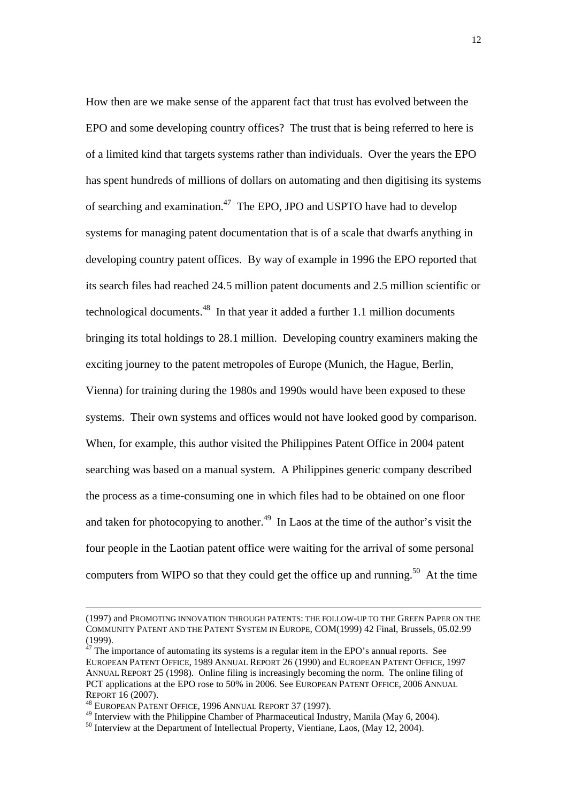How then are we make sense of the apparent fact that trust has evolved between the EPO and some developing country offices? The trust that is being referred to here is of a limited kind that targets systems rather than individuals. Over the years the EPO has spent hundreds of millions of dollars on automating and then digitising its systems of searching and examination.<sup>47</sup> The EPO, JPO and USPTO have had to develop systems for managing patent documentation that is of a scale that dwarfs anything in developing country patent offices. By way of example in 1996 the EPO reported that its search files had reached 24.5 million patent documents and 2.5 million scientific or technological documents.<sup>48</sup> In that year it added a further 1.1 million documents bringing its total holdings to 28.1 million. Developing country examiners making the exciting journey to the patent metropoles of Europe (Munich, the Hague, Berlin, Vienna) for training during the 1980s and 1990s would have been exposed to these systems. Their own systems and offices would not have looked good by comparison. When, for example, this author visited the Philippines Patent Office in 2004 patent searching was based on a manual system. A Philippines generic company described the process as a time-consuming one in which files had to be obtained on one floor and taken for photocopying to another.<sup>49</sup> In Laos at the time of the author's visit the four people in the Laotian patent office were waiting for the arrival of some personal computers from WIPO so that they could get the office up and running.<sup>50</sup> At the time

 <sup>(1997)</sup> and PROMOTING INNOVATION THROUGH PATENTS: THE FOLLOW-UP TO THE GREEN PAPER ON THE COMMUNITY PATENT AND THE PATENT SYSTEM IN EUROPE, COM(1999) 42 Final, Brussels, 05.02.99

<span id="page-12-0"></span><sup>(1999).&</sup>lt;br><sup>47</sup> The importance of automating its systems is a regular item in the EPO's annual reports. See EUROPEAN PATENT OFFICE, 1989 ANNUAL REPORT 26 (1990) and EUROPEAN PATENT OFFICE, 1997 ANNUAL REPORT 25 (1998). Online filing is increasingly becoming the norm. The online filing of PCT applications at the EPO rose to 50% in 2006. See EUROPEAN PATENT OFFICE, 2006 ANNUAL REPORT 16 (2007).<br><sup>48</sup> EUROPEAN PATENT OFFICE, 1996 ANNUAL REPORT 37 (1997).<br><sup>49</sup> Interview with the Philippine Chamber of Pharmaceutical Industry, Manila (May 6, 2004).<br><sup>50</sup> Interview at the Department of Intellectual Pro

<span id="page-12-1"></span>

<span id="page-12-2"></span>

<span id="page-12-3"></span>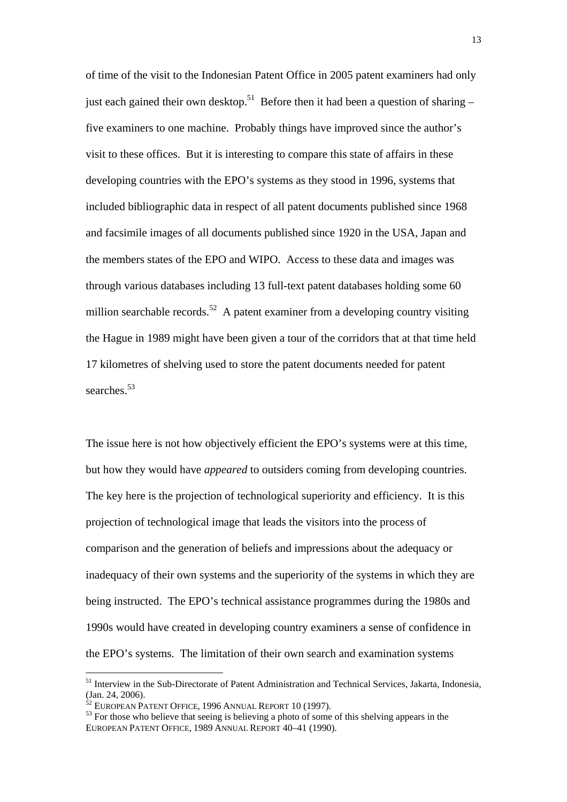of time of the visit to the Indonesian Patent Office in 2005 patent examiners had only just each gained their own desktop.<sup>51</sup> Before then it had been a question of sharing – five examiners to one machine. Probably things have improved since the author's visit to these offices. But it is interesting to compare this state of affairs in these developing countries with the EPO's systems as they stood in 1996, systems that included bibliographic data in respect of all patent documents published since 1968 and facsimile images of all documents published since 1920 in the USA, Japan and the members states of the EPO and WIPO. Access to these data and images was through various databases including 13 full-text patent databases holding some 60 million searchable records.<sup>52</sup> A patent examiner from a developing country visiting the Hague in 1989 might have been given a tour of the corridors that at that time held 17 kilometres of shelving used to store the patent documents needed for patent searches.<sup>53</sup>

The issue here is not how objectively efficient the EPO's systems were at this time, but how they would have *appeared* to outsiders coming from developing countries. The key here is the projection of technological superiority and efficiency. It is this projection of technological image that leads the visitors into the process of comparison and the generation of beliefs and impressions about the adequacy or inadequacy of their own systems and the superiority of the systems in which they are being instructed. The EPO's technical assistance programmes during the 1980s and 1990s would have created in developing country examiners a sense of confidence in the EPO's systems. The limitation of their own search and examination systems

<span id="page-13-0"></span> $51$  Interview in the Sub-Directorate of Patent Administration and Technical Services, Jakarta, Indonesia, (Jan. 24, 2006).

<span id="page-13-2"></span><span id="page-13-1"></span>

 $\frac{\dot{s}_2}{\dot{s}_1}$  EUROPEAN PATENT OFFICE, 1996 ANNUAL REPORT 10 (1997).<br><sup>53</sup> For those who believe that seeing is believing a photo of some of this shelving appears in the EUROPEAN PATENT OFFICE, 1989 ANNUAL REPORT 40–41 (1990).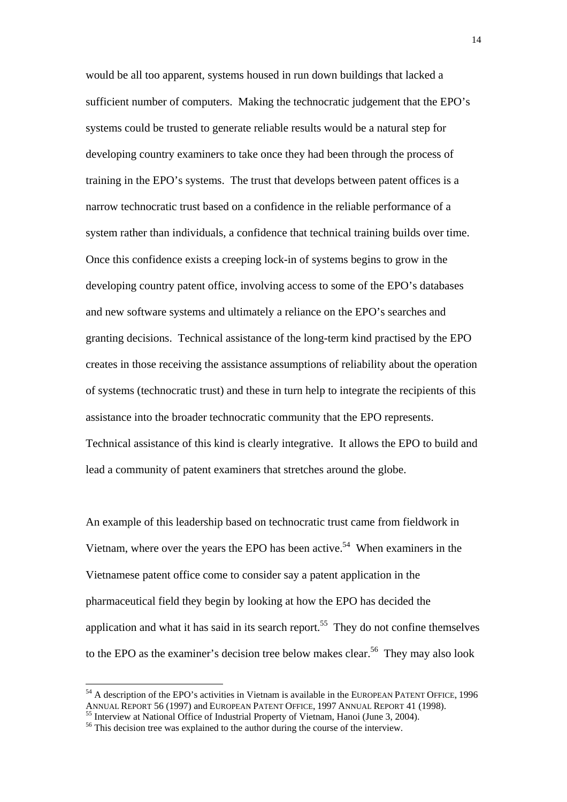would be all too apparent, systems housed in run down buildings that lacked a sufficient number of computers. Making the technocratic judgement that the EPO's systems could be trusted to generate reliable results would be a natural step for developing country examiners to take once they had been through the process of training in the EPO's systems. The trust that develops between patent offices is a narrow technocratic trust based on a confidence in the reliable performance of a system rather than individuals, a confidence that technical training builds over time. Once this confidence exists a creeping lock-in of systems begins to grow in the developing country patent office, involving access to some of the EPO's databases and new software systems and ultimately a reliance on the EPO's searches and granting decisions. Technical assistance of the long-term kind practised by the EPO creates in those receiving the assistance assumptions of reliability about the operation of systems (technocratic trust) and these in turn help to integrate the recipients of this assistance into the broader technocratic community that the EPO represents. Technical assistance of this kind is clearly integrative. It allows the EPO to build and lead a community of patent examiners that stretches around the globe.

An example of this leadership based on technocratic trust came from fieldwork in Vietnam, where over the years the EPO has been active.<sup>54</sup> When examiners in the Vietnamese patent office come to consider say a patent application in the pharmaceutical field they begin by looking at how the EPO has decided the application and what it has said in its search report.<sup>55</sup> They do not confine themselves to the EPO as the examiner's decision tree below makes clear.<sup>56</sup> They may also look

<span id="page-14-0"></span><sup>&</sup>lt;sup>54</sup> A description of the EPO's activities in Vietnam is available in the EUROPEAN PATENT OFFICE, 1996 ANNUAL REPORT 56 (1997) and EUROPEAN PATENT OFFICE, 1997 ANNUAL REPORT 41 (1998).<br><sup>55</sup> Interview at National Office of Industrial Property of Vietnam, Hanoi (June 3, 2004).<br><sup>56</sup> This decision tree was explained to the auth

<span id="page-14-1"></span>

<span id="page-14-2"></span>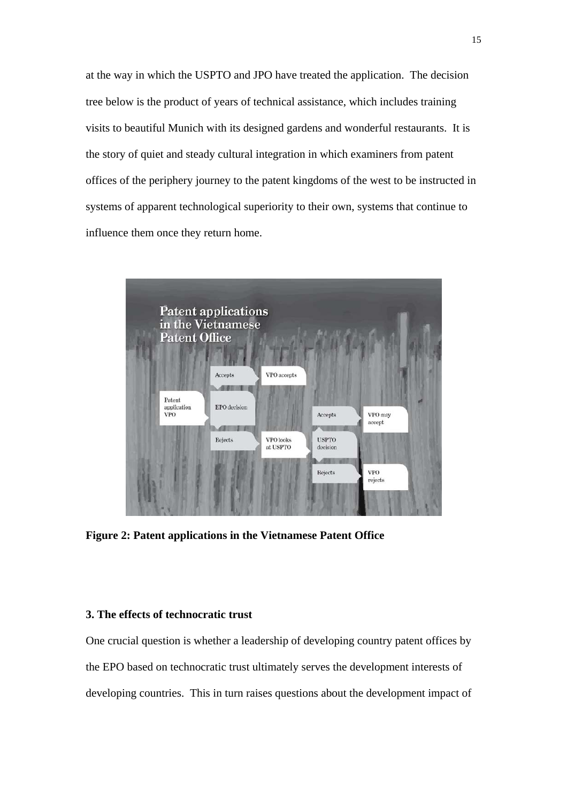at the way in which the USPTO and JPO have treated the application. The decision tree below is the product of years of technical assistance, which includes training visits to beautiful Munich with its designed gardens and wonderful restaurants. It is the story of quiet and steady cultural integration in which examiners from patent offices of the periphery journey to the patent kingdoms of the west to be instructed in systems of apparent technological superiority to their own, systems that continue to influence them once they return home.



**Figure 2: Patent applications in the Vietnamese Patent Office** 

# **3. The effects of technocratic trust**

One crucial question is whether a leadership of developing country patent offices by the EPO based on technocratic trust ultimately serves the development interests of developing countries. This in turn raises questions about the development impact of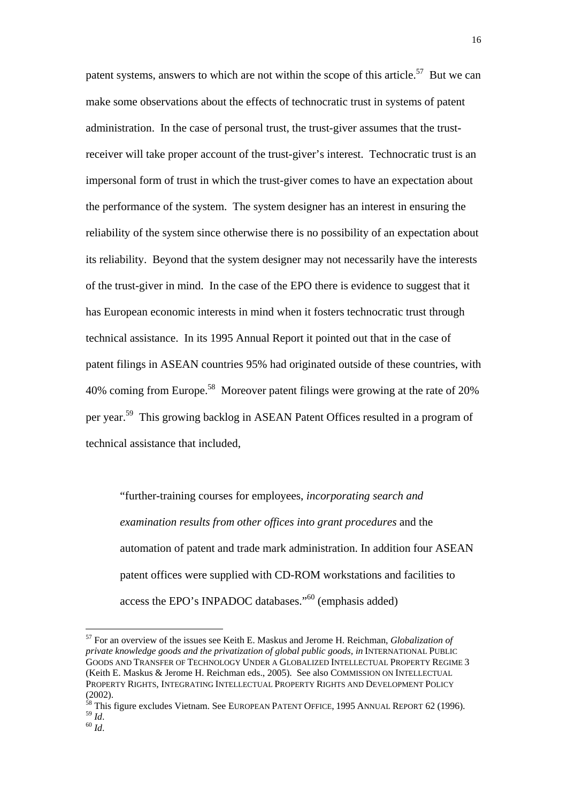patent systems, answers to which are not within the scope of this article.<sup>57</sup> But we can make some observations about the effects of technocratic trust in systems of patent administration. In the case of personal trust, the trust-giver assumes that the trustreceiver will take proper account of the trust-giver's interest. Technocratic trust is an impersonal form of trust in which the trust-giver comes to have an expectation about the performance of the system. The system designer has an interest in ensuring the reliability of the system since otherwise there is no possibility of an expectation about its reliability. Beyond that the system designer may not necessarily have the interests of the trust-giver in mind. In the case of the EPO there is evidence to suggest that it has European economic interests in mind when it fosters technocratic trust through technical assistance. In its 1995 Annual Report it pointed out that in the case of patent filings in ASEAN countries 95% had originated outside of these countries, with 40% coming from Europe[.58](#page-16-1) Moreover patent filings were growing at the rate of 20% per year[.59](#page-16-2) This growing backlog in ASEAN Patent Offices resulted in a program of technical assistance that included,

"further-training courses for employees, *incorporating search and examination results from other offices into grant procedures* and the automation of patent and trade mark administration. In addition four ASEAN patent offices were supplied with CD-ROM workstations and facilities to access the EPO's INPADOC databases.["60](#page-16-3) (emphasis added)

<span id="page-16-0"></span><sup>57</sup> For an overview of the issues see Keith E. Maskus and Jerome H. Reichman, *Globalization of private knowledge goods and the privatization of global public goods, in* INTERNATIONAL PUBLIC GOODS AND TRANSFER OF TECHNOLOGY UNDER A GLOBALIZED INTELLECTUAL PROPERTY REGIME 3 (Keith E. Maskus & Jerome H. Reichman eds., 2005). See also COMMISSION ON INTELLECTUAL PROPERTY RIGHTS, INTEGRATING INTELLECTUAL PROPERTY RIGHTS AND DEVELOPMENT POLICY

<span id="page-16-1"></span><sup>(2002). 58</sup> This figure excludes Vietnam. See EUROPEAN PATENT OFFICE, <sup>1995</sup> ANNUAL REPORT 62 (1996). 59 *Id*. 60 *Id*.

<span id="page-16-3"></span><span id="page-16-2"></span>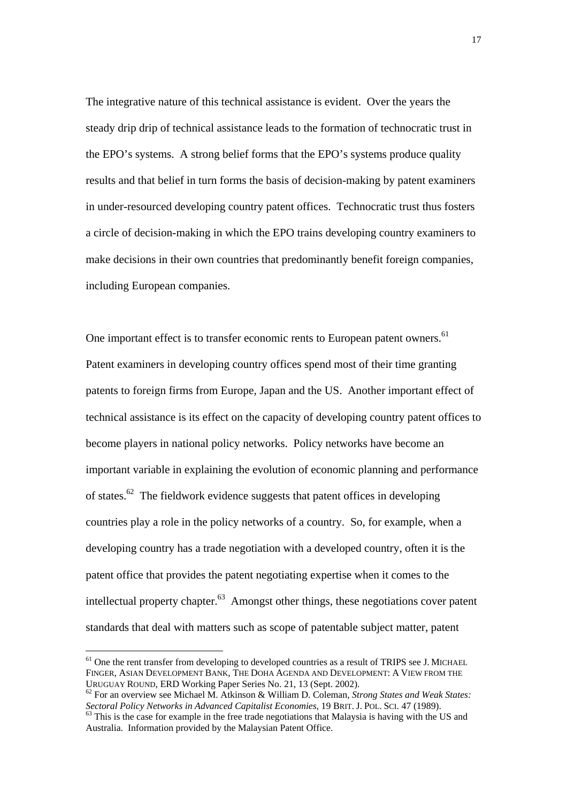The integrative nature of this technical assistance is evident. Over the years the steady drip drip of technical assistance leads to the formation of technocratic trust in the EPO's systems. A strong belief forms that the EPO's systems produce quality results and that belief in turn forms the basis of decision-making by patent examiners in under-resourced developing country patent offices. Technocratic trust thus fosters a circle of decision-making in which the EPO trains developing country examiners to make decisions in their own countries that predominantly benefit foreign companies, including European companies.

One important effect is to transfer economic rents to European patent owners.<sup>61</sup> Patent examiners in developing country offices spend most of their time granting patents to foreign firms from Europe, Japan and the US. Another important effect of technical assistance is its effect on the capacity of developing country patent offices to become players in national policy networks. Policy networks have become an important variable in explaining the evolution of economic planning and performance of states.<sup>62</sup> The fieldwork evidence suggests that patent offices in developing countries play a role in the policy networks of a country. So, for example, when a developing country has a trade negotiation with a developed country, often it is the patent office that provides the patent negotiating expertise when it comes to the intellectual property chapter. $63$  Amongst other things, these negotiations cover patent standards that deal with matters such as scope of patentable subject matter, patent

<span id="page-17-0"></span><sup>&</sup>lt;sup>61</sup> One the rent transfer from developing to developed countries as a result of TRIPS see J. MICHAEL FINGER, ASIAN DEVELOPMENT BANK, THE DOHA AGENDA AND DEVELOPMENT: A VIEW FROM THE URUGUAY ROUND, ERD Working Paper Series No. 21, 13 (Sept. 2002).

<span id="page-17-1"></span><sup>&</sup>lt;sup>62</sup> For an overview see Michael M. Atkinson & William D. Coleman, *Strong States and Weak States: Sectoral Policy Networks in Advanced Capitalist Economies*, 19 BRIT. J. POL. SCI. 47 (1989).

<span id="page-17-2"></span><sup>&</sup>lt;sup>63</sup> This is the case for example in the free trade negotiations that Malaysia is having with the US and Australia. Information provided by the Malaysian Patent Office.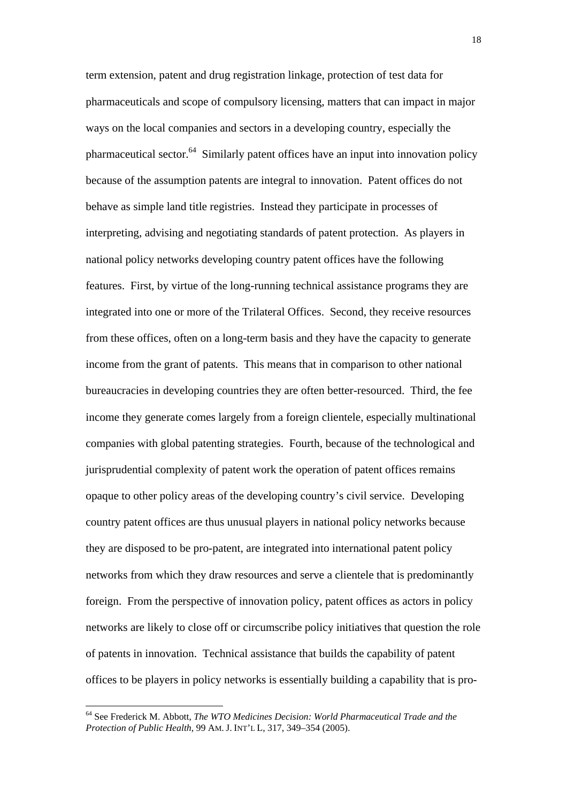term extension, patent and drug registration linkage, protection of test data for pharmaceuticals and scope of compulsory licensing, matters that can impact in major ways on the local companies and sectors in a developing country, especially the pharmaceutical sector.<sup>64</sup> Similarly patent offices have an input into innovation policy because of the assumption patents are integral to innovation. Patent offices do not behave as simple land title registries. Instead they participate in processes of interpreting, advising and negotiating standards of patent protection. As players in national policy networks developing country patent offices have the following features. First, by virtue of the long-running technical assistance programs they are integrated into one or more of the Trilateral Offices. Second, they receive resources from these offices, often on a long-term basis and they have the capacity to generate income from the grant of patents. This means that in comparison to other national bureaucracies in developing countries they are often better-resourced. Third, the fee income they generate comes largely from a foreign clientele, especially multinational companies with global patenting strategies. Fourth, because of the technological and jurisprudential complexity of patent work the operation of patent offices remains opaque to other policy areas of the developing country's civil service. Developing country patent offices are thus unusual players in national policy networks because they are disposed to be pro-patent, are integrated into international patent policy networks from which they draw resources and serve a clientele that is predominantly foreign. From the perspective of innovation policy, patent offices as actors in policy networks are likely to close off or circumscribe policy initiatives that question the role of patents in innovation. Technical assistance that builds the capability of patent offices to be players in policy networks is essentially building a capability that is pro-

<span id="page-18-0"></span><sup>64</sup> See Frederick M. Abbott, *The WTO Medicines Decision: World Pharmaceutical Trade and the Protection of Public Health*, 99 AM. J. INT'L L, 317, 349–354 (2005).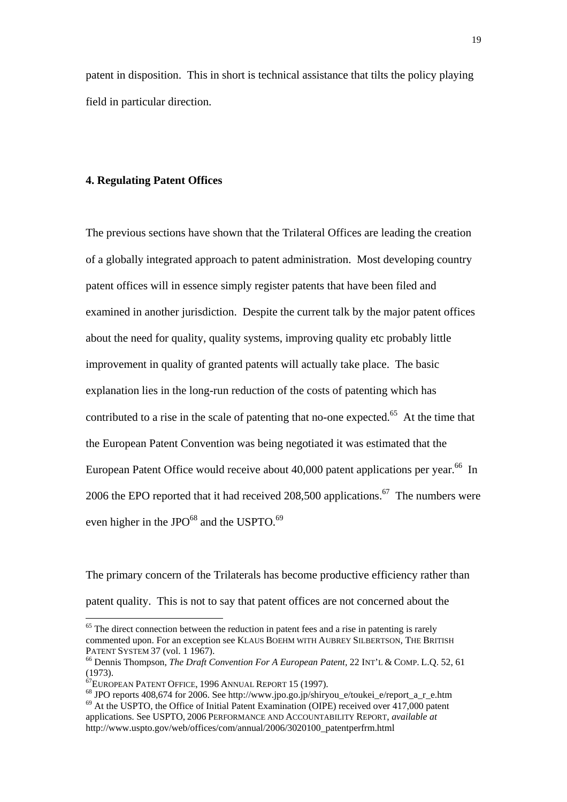patent in disposition. This in short is technical assistance that tilts the policy playing field in particular direction.

#### **4. Regulating Patent Offices**

The previous sections have shown that the Trilateral Offices are leading the creation of a globally integrated approach to patent administration. Most developing country patent offices will in essence simply register patents that have been filed and examined in another jurisdiction. Despite the current talk by the major patent offices about the need for quality, quality systems, improving quality etc probably little improvement in quality of granted patents will actually take place. The basic explanation lies in the long-run reduction of the costs of patenting which has contributed to a rise in the scale of patenting that no-one expected.<sup>65</sup> At the time that the European Patent Convention was being negotiated it was estimated that the European Patent Office would receive about  $40,000$  patent applications per year.<sup>66</sup> In 2006 the EPO reported that it had received  $208,500$  applications.<sup>67</sup> The numbers were even higher in the JPO $^{68}$  and the USPTO. $^{69}$ 

The primary concern of the Trilaterals has become productive efficiency rather than patent quality. This is not to say that patent offices are not concerned about the

<span id="page-19-0"></span> $<sup>65</sup>$  The direct connection between the reduction in patent fees and a rise in patenting is rarely</sup> commented upon. For an exception see KLAUS BOEHM WITH AUBREY SILBERTSON, THE BRITISH PATENT SYSTEM 37 (vol. 1 1967).

<span id="page-19-1"></span><sup>&</sup>lt;sup>66</sup> Dennis Thompson, *The Draft Convention For A European Patent*, 22 INT'L & COMP. L.Q. 52, 61

<span id="page-19-4"></span><span id="page-19-3"></span><span id="page-19-2"></span>

<sup>(1973).&</sup>lt;br><sup>67</sup>EUROPEAN PATENT OFFICE, 1996 ANNUAL REPORT 15 (1997).<br><sup>68</sup> JPO reports 408,674 for 2006. See http://www.jpo.go.jp/shiryou\_e/toukei\_e/report\_a\_r\_e.htm<br><sup>69</sup> At the USPTO, the Office of Initial Patent Examination applications. See USPTO, 2006 PERFORMANCE AND ACCOUNTABILITY REPORT, *available at* http://www.uspto.gov/web/offices/com/annual/2006/3020100\_patentperfrm.html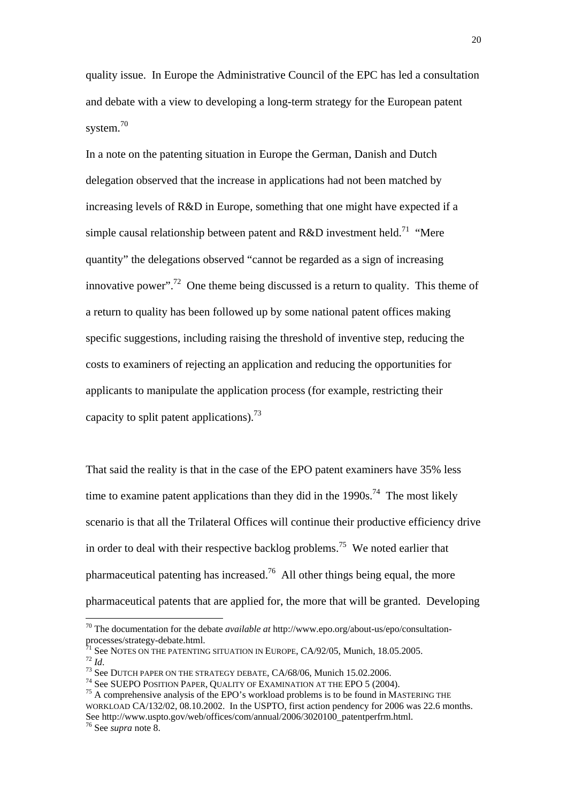quality issue. In Europe the Administrative Council of the EPC has led a consultation and debate with a view to developing a long-term strategy for the European patent system. [70](#page-20-0)

In a note on the patenting situation in Europe the German, Danish and Dutch delegation observed that the increase in applications had not been matched by increasing levels of R&D in Europe, something that one might have expected if a simple causal relationship between patent and  $R&D$  investment held.<sup>71</sup> "Mere quantity" the delegations observed "cannot be regarded as a sign of increasing innovative power".<sup>72</sup> One theme being discussed is a return to quality. This theme of a return to quality has been followed up by some national patent offices making specific suggestions, including raising the threshold of inventive step, reducing the costs to examiners of rejecting an application and reducing the opportunities for applicants to manipulate the application process (for example, restricting their capacity to split patent applications).<sup>73</sup>

That said the reality is that in the case of the EPO patent examiners have 35% less time to examine patent applications than they did in the  $1990s$ .<sup>74</sup> The most likely scenario is that all the Trilateral Offices will continue their productive efficiency drive in order to deal with their respective backlog problems.<sup>75</sup> We noted earlier that pharmaceutical patenting has increased.<sup>76</sup> All other things being equal, the more pharmaceutical patents that are applied for, the more that will be granted. Developing

<span id="page-20-0"></span><sup>70</sup> The documentation for the debate *available at* http://www.epo.org/about-us/epo/consultation-

<span id="page-20-1"></span>processes/strategy-debate.html.<br>
<sup>71</sup> See NOTES ON THE PATENTING SITUATION IN EUROPE, CA/92/05, Munich, 18.05.2005.<br>
<sup>72</sup> Id.<br>
<sup>73</sup> See DUTCH PAPER ON THE STRATEGY DEBATE, CA/68/06, Munich 15.02.2006.<br>
<sup>74</sup> See SUEPO POSI

<span id="page-20-3"></span><span id="page-20-2"></span>

<span id="page-20-4"></span>

<span id="page-20-6"></span><span id="page-20-5"></span>WORKLOAD CA/132/02, 08.10.2002. In the USPTO, first action pendency for 2006 was 22.6 months. See http://www.uspto.gov/web/offices/com/annual/2006/3020100\_patentperfrm.html. 76 See *supra* note 8.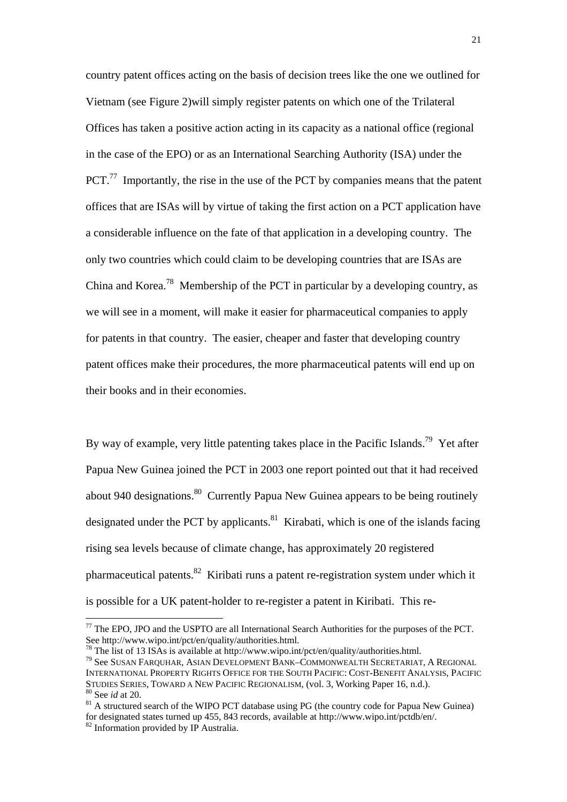country patent offices acting on the basis of decision trees like the one we outlined for Vietnam (see Figure 2)will simply register patents on which one of the Trilateral Offices has taken a positive action acting in its capacity as a national office (regional in the case of the EPO) or as an International Searching Authority (ISA) under the PCT.<sup>77</sup> Importantly, the rise in the use of the PCT by companies means that the patent offices that are ISAs will by virtue of taking the first action on a PCT application have a considerable influence on the fate of that application in a developing country. The only two countries which could claim to be developing countries that are ISAs are China and Korea[.78](#page-21-1) Membership of the PCT in particular by a developing country, as we will see in a moment, will make it easier for pharmaceutical companies to apply for patents in that country. The easier, cheaper and faster that developing country patent offices make their procedures, the more pharmaceutical patents will end up on their books and in their economies.

By way of example, very little patenting takes place in the Pacific Islands.<sup>79</sup> Yet after Papua New Guinea joined the PCT in 2003 one report pointed out that it had received about 940 designations.<sup>80</sup> Currently Papua New Guinea appears to be being routinely designated under the PCT by applicants.<sup>81</sup> Kirabati, which is one of the islands facing rising sea levels because of climate change, has approximately 20 registered pharmaceutical patents[.82](#page-21-5) Kiribati runs a patent re-registration system under which it is possible for a UK patent-holder to re-register a patent in Kiribati. This re-

<span id="page-21-0"></span> $77$  The EPO, JPO and the USPTO are all International Search Authorities for the purposes of the PCT.

<span id="page-21-2"></span><span id="page-21-1"></span>See http://www.wipo.int/pct/en/quality/authorities.html.<br><sup>78</sup> The list of 13 ISAs is available at http://www.wipo.int/pct/en/quality/authorities.html.<br><sup>79</sup> See SUSAN FARQUHAR, ASIAN DEVELOPMENT BANK–COMMONWEALTH SECRETARIA INTERNATIONAL PROPERTY RIGHTS OFFICE FOR THE SOUTH PACIFIC: COST-BENEFIT ANALYSIS, PACIFIC<br>STUDIES SERIES, TOWARD A NEW PACIFIC REGIONALISM, (vol. 3, Working Paper 16, n.d.). <sup>80</sup> See *id* at 20. <sup>81</sup> A structured search of the WIPO PCT database using PG (the country code for Papua New Guinea)

<span id="page-21-4"></span><span id="page-21-3"></span>for designated states turned up 455, 843 records, available at http://www.wipo.int/pctdb/en/. 82 Information provided by IP Australia.

<span id="page-21-5"></span>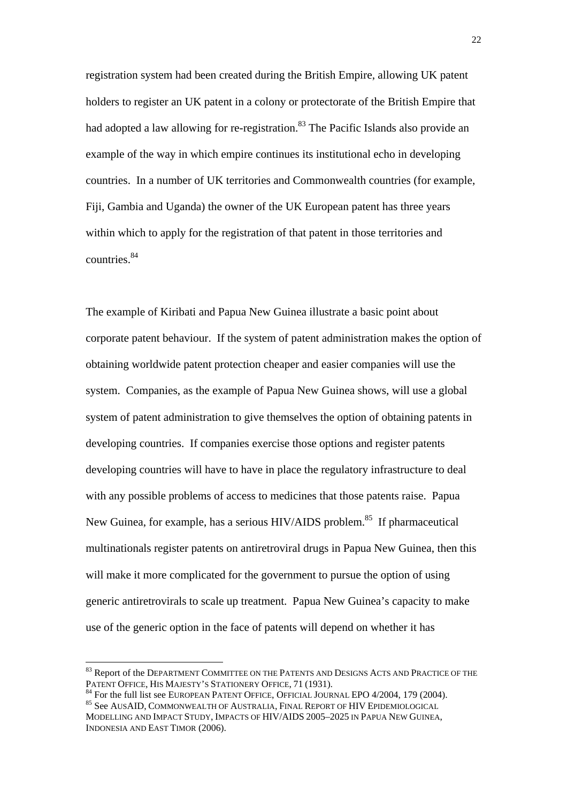registration system had been created during the British Empire, allowing UK patent holders to register an UK patent in a colony or protectorate of the British Empire that had adopted a law allowing for re-registration.<sup>83</sup> The Pacific Islands also provide an example of the way in which empire continues its institutional echo in developing countries. In a number of UK territories and Commonwealth countries (for example, Fiji, Gambia and Uganda) the owner of the UK European patent has three years within which to apply for the registration of that patent in those territories and countries[.84](#page-22-1)

The example of Kiribati and Papua New Guinea illustrate a basic point about corporate patent behaviour. If the system of patent administration makes the option of obtaining worldwide patent protection cheaper and easier companies will use the system. Companies, as the example of Papua New Guinea shows, will use a global system of patent administration to give themselves the option of obtaining patents in developing countries. If companies exercise those options and register patents developing countries will have to have in place the regulatory infrastructure to deal with any possible problems of access to medicines that those patents raise. Papua New Guinea, for example, has a serious HIV/AIDS problem.<sup>85</sup> If pharmaceutical multinationals register patents on antiretroviral drugs in Papua New Guinea, then this will make it more complicated for the government to pursue the option of using generic antiretrovirals to scale up treatment. Papua New Guinea's capacity to make use of the generic option in the face of patents will depend on whether it has

<span id="page-22-0"></span> $83$  Report of the DEPARTMENT COMMITTEE ON THE PATENTS AND DESIGNS ACTS AND PRACTICE OF THE PATENT OFFICE, HIS MAJESTY'S STATIONERY OFFICE,  $71$  (1931).

<span id="page-22-1"></span> $^{84}$  For the full list see EUROPEAN PATENT OFFICE, OFFICIAL JOURNAL EPO  $4/2004$ , 179 (2004).<br>  $^{85}$  See AUSAID, COMMONWEALTH OF AUSTRALIA, FINAL REPORT OF HIV EPIDEMIOLOGICAL

<span id="page-22-2"></span>MODELLING AND IMPACT STUDY, IMPACTS OF HIV/AIDS 2005–2025 IN PAPUA NEW GUINEA, INDONESIA AND EAST TIMOR (2006).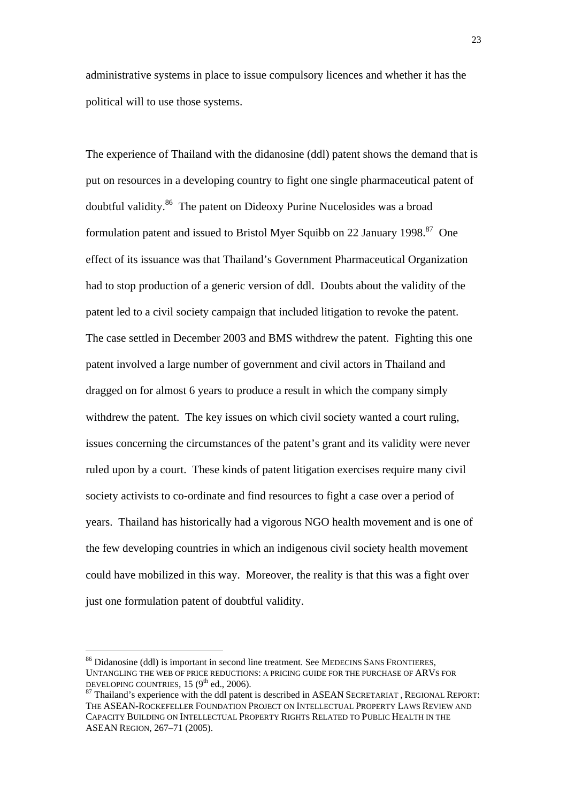administrative systems in place to issue compulsory licences and whether it has the political will to use those systems.

The experience of Thailand with the didanosine (ddl) patent shows the demand that is put on resources in a developing country to fight one single pharmaceutical patent of doubtful validity[.86](#page-23-0) The patent on Dideoxy Purine Nucelosides was a broad formulation patent and issued to Bristol Myer Squibb on 22 January 1998.<sup>87</sup> One effect of its issuance was that Thailand's Government Pharmaceutical Organization had to stop production of a generic version of ddl. Doubts about the validity of the patent led to a civil society campaign that included litigation to revoke the patent. The case settled in December 2003 and BMS withdrew the patent. Fighting this one patent involved a large number of government and civil actors in Thailand and dragged on for almost 6 years to produce a result in which the company simply withdrew the patent. The key issues on which civil society wanted a court ruling, issues concerning the circumstances of the patent's grant and its validity were never ruled upon by a court. These kinds of patent litigation exercises require many civil society activists to co-ordinate and find resources to fight a case over a period of years. Thailand has historically had a vigorous NGO health movement and is one of the few developing countries in which an indigenous civil society health movement could have mobilized in this way. Moreover, the reality is that this was a fight over just one formulation patent of doubtful validity.

<span id="page-23-0"></span><sup>86</sup> Didanosine (ddl) is important in second line treatment. See MEDECINS SANS FRONTIERES, UNTANGLING THE WEB OF PRICE REDUCTIONS: A PRICING GUIDE FOR THE PURCHASE OF ARVS FOR DEVELOPING COUNTRIES,  $15$  (9<sup>th</sup> ed., 2006).

<span id="page-23-1"></span> $87$  Thailand's experience with the ddl patent is described in ASEAN SECRETARIAT , REGIONAL REPORT: THE ASEAN-ROCKEFELLER FOUNDATION PROJECT ON INTELLECTUAL PROPERTY LAWS REVIEW AND CAPACITY BUILDING ON INTELLECTUAL PROPERTY RIGHTS RELATED TO PUBLIC HEALTH IN THE ASEAN REGION, 267–71 (2005).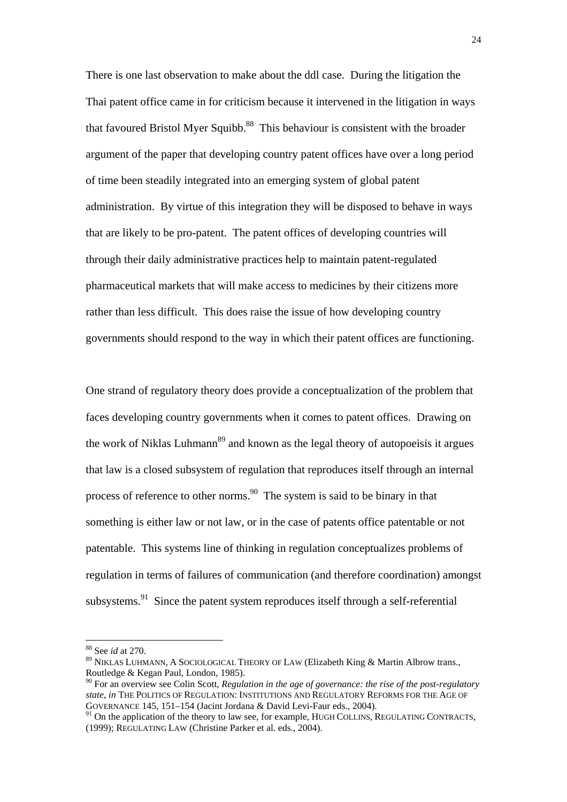There is one last observation to make about the ddl case. During the litigation the Thai patent office came in for criticism because it intervened in the litigation in ways that favoured Bristol Myer Squibb.<sup>88</sup> This behaviour is consistent with the broader argument of the paper that developing country patent offices have over a long period of time been steadily integrated into an emerging system of global patent administration. By virtue of this integration they will be disposed to behave in ways that are likely to be pro-patent. The patent offices of developing countries will through their daily administrative practices help to maintain patent-regulated pharmaceutical markets that will make access to medicines by their citizens more rather than less difficult. This does raise the issue of how developing country governments should respond to the way in which their patent offices are functioning.

One strand of regulatory theory does provide a conceptualization of the problem that faces developing country governments when it comes to patent offices. Drawing on the work of Niklas Luhmann<sup>89</sup> and known as the legal theory of autopoeisis it argues that law is a closed subsystem of regulation that reproduces itself through an internal process of reference to other norms.<sup>90</sup> The system is said to be binary in that something is either law or not law, or in the case of patents office patentable or not patentable. This systems line of thinking in regulation conceptualizes problems of regulation in terms of failures of communication (and therefore coordination) amongst subsystems. $91$  Since the patent system reproduces itself through a self-referential

<span id="page-24-1"></span><span id="page-24-0"></span>

<sup>&</sup>lt;sup>88</sup> See *id* at 270.<br><sup>89</sup> NIKLAS LUHMANN, A SOCIOLOGICAL THEORY OF LAW (Elizabeth King & Martin Albrow trans., Routledge & Kegan Paul, London, 1985).

<span id="page-24-2"></span><sup>&</sup>lt;sup>90</sup> For an overview see Colin Scott, *Regulation in the age of governance: the rise of the post-regulatory state*, *in* THE POLITICS OF REGULATION: INSTITUTIONS AND REGULATORY REFORMS FOR THE AGE OF GOVERNANCE 145, 151–154 (Jacint Jordana & David Levi-Faur eds., 2004).

<span id="page-24-3"></span><sup>&</sup>lt;sup>91</sup> On the application of the theory to law see, for example, HUGH COLLINS, REGULATING CONTRACTS, (1999); REGULATING LAW (Christine Parker et al. eds., 2004).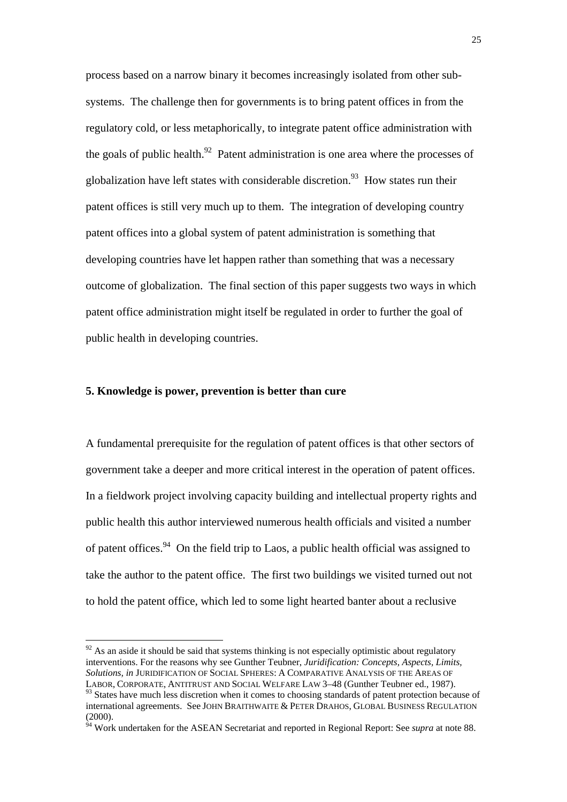process based on a narrow binary it becomes increasingly isolated from other subsystems. The challenge then for governments is to bring patent offices in from the regulatory cold, or less metaphorically, to integrate patent office administration with the goals of public health.<sup>92</sup> Patent administration is one area where the processes of globalization have left states with considerable discretion.<sup>93</sup> How states run their patent offices is still very much up to them. The integration of developing country patent offices into a global system of patent administration is something that developing countries have let happen rather than something that was a necessary outcome of globalization. The final section of this paper suggests two ways in which patent office administration might itself be regulated in order to further the goal of public health in developing countries.

# **5. Knowledge is power, prevention is better than cure**

 $\overline{a}$ 

A fundamental prerequisite for the regulation of patent offices is that other sectors of government take a deeper and more critical interest in the operation of patent offices. In a fieldwork project involving capacity building and intellectual property rights and public health this author interviewed numerous health officials and visited a number of patent offices. <sup>94</sup> On the field trip to Laos, a public health official was assigned to take the author to the patent office. The first two buildings we visited turned out not to hold the patent office, which led to some light hearted banter about a reclusive

<span id="page-25-0"></span> $92$  As an aside it should be said that systems thinking is not especially optimistic about regulatory interventions. For the reasons why see Gunther Teubner, *Juridification: Concepts, Aspects, Limits, Solutions, in* JURIDIFICATION OF SOCIAL SPHERES: A COMPARATIVE ANALYSIS OF THE AREAS OF

<span id="page-25-1"></span>LABOR, CORPORATE, ANTITRUST AND SOCIAL WELFARE LAW 3–48 (Gunther Teubner ed., 1987).<br><sup>93</sup> States have much less discretion when it comes to choosing standards of patent protection because of international agreements. See JOHN BRAITHWAITE & PETER DRAHOS, GLOBAL BUSINESS REGULATION

<span id="page-25-2"></span><sup>(2000). 94</sup> Work undertaken for the ASEAN Secretariat and reported in Regional Report: See *supra* at note 88.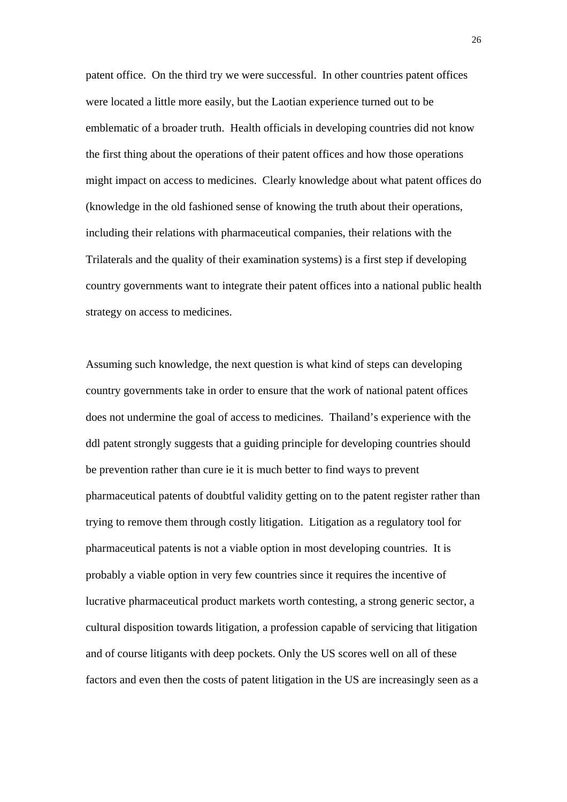patent office. On the third try we were successful. In other countries patent offices were located a little more easily, but the Laotian experience turned out to be emblematic of a broader truth. Health officials in developing countries did not know the first thing about the operations of their patent offices and how those operations might impact on access to medicines. Clearly knowledge about what patent offices do (knowledge in the old fashioned sense of knowing the truth about their operations, including their relations with pharmaceutical companies, their relations with the Trilaterals and the quality of their examination systems) is a first step if developing country governments want to integrate their patent offices into a national public health strategy on access to medicines.

Assuming such knowledge, the next question is what kind of steps can developing country governments take in order to ensure that the work of national patent offices does not undermine the goal of access to medicines. Thailand's experience with the ddl patent strongly suggests that a guiding principle for developing countries should be prevention rather than cure ie it is much better to find ways to prevent pharmaceutical patents of doubtful validity getting on to the patent register rather than trying to remove them through costly litigation. Litigation as a regulatory tool for pharmaceutical patents is not a viable option in most developing countries. It is probably a viable option in very few countries since it requires the incentive of lucrative pharmaceutical product markets worth contesting, a strong generic sector, a cultural disposition towards litigation, a profession capable of servicing that litigation and of course litigants with deep pockets. Only the US scores well on all of these factors and even then the costs of patent litigation in the US are increasingly seen as a

26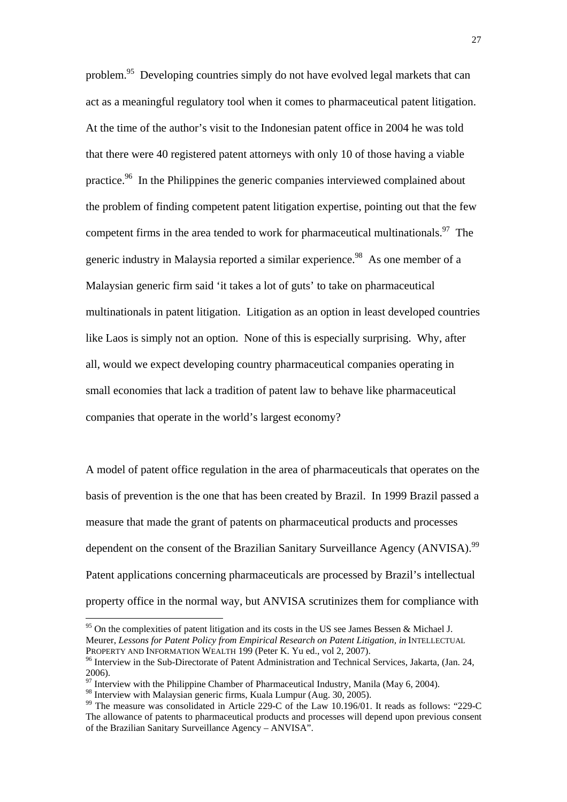problem.<sup>95</sup> Developing countries simply do not have evolved legal markets that can act as a meaningful regulatory tool when it comes to pharmaceutical patent litigation. At the time of the author's visit to the Indonesian patent office in 2004 he was told that there were 40 registered patent attorneys with only 10 of those having a viable practice[.96](#page-27-1) In the Philippines the generic companies interviewed complained about the problem of finding competent patent litigation expertise, pointing out that the few competent firms in the area tended to work for pharmaceutical multinationals.<sup>97</sup> The generic industry in Malaysia reported a similar experience.<sup>98</sup> As one member of a Malaysian generic firm said 'it takes a lot of guts' to take on pharmaceutical multinationals in patent litigation. Litigation as an option in least developed countries like Laos is simply not an option. None of this is especially surprising. Why, after all, would we expect developing country pharmaceutical companies operating in small economies that lack a tradition of patent law to behave like pharmaceutical companies that operate in the world's largest economy?

A model of patent office regulation in the area of pharmaceuticals that operates on the basis of prevention is the one that has been created by Brazil. In 1999 Brazil passed a measure that made the grant of patents on pharmaceutical products and processes dependent on the consent of the Brazilian Sanitary Surveillance Agency (ANVISA).<sup>99</sup> Patent applications concerning pharmaceuticals are processed by Brazil's intellectual property office in the normal way, but ANVISA scrutinizes them for compliance with

<span id="page-27-0"></span><sup>&</sup>lt;sup>95</sup> On the complexities of patent litigation and its costs in the US see James Bessen & Michael J. Meurer, *Lessons for Patent Policy from Empirical Research on Patent Litigation, in* INTELLECTUAL

<span id="page-27-1"></span><sup>&</sup>lt;sup>96</sup> Interview in the Sub-Directorate of Patent Administration and Technical Services, Jakarta, (Jan. 24, 2006).<br><sup>97</sup> Interview with the Philippine Chamber of Pharmaceutical Industry, Manila (May 6, 2004).<br><sup>98</sup> Interview with Malaysian generic firms, Kuala Lumpur (Aug. 30, 2005).

<span id="page-27-2"></span>

<span id="page-27-3"></span>

<span id="page-27-4"></span><sup>&</sup>lt;sup>99</sup> The measure was consolidated in Article 229-C of the Law 10.196/01. It reads as follows: "229-C The allowance of patents to pharmaceutical products and processes will depend upon previous consent of the Brazilian Sanitary Surveillance Agency – ANVISA".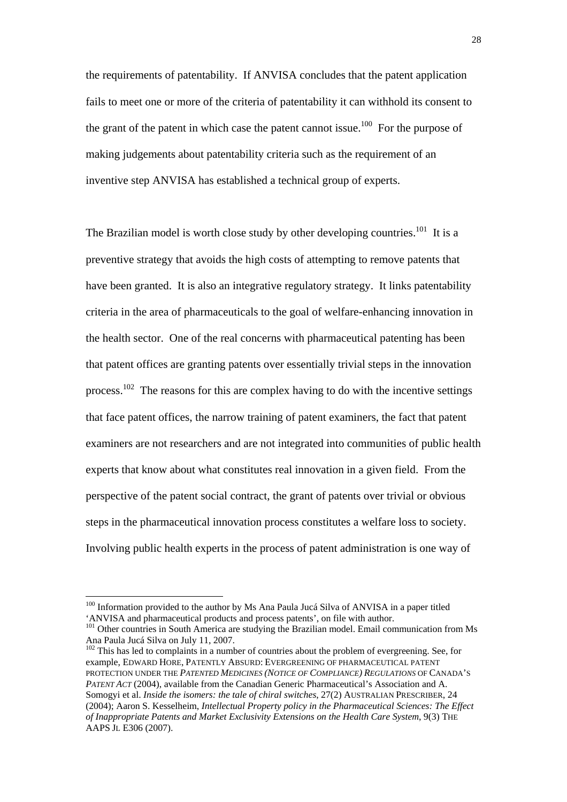the requirements of patentability. If ANVISA concludes that the patent application fails to meet one or more of the criteria of patentability it can withhold its consent to the grant of the patent in which case the patent cannot issue.<sup>100</sup> For the purpose of making judgements about patentability criteria such as the requirement of an inventive step ANVISA has established a technical group of experts.

The Brazilian model is worth close study by other developing countries.<sup>101</sup> It is a preventive strategy that avoids the high costs of attempting to remove patents that have been granted. It is also an integrative regulatory strategy. It links patentability criteria in the area of pharmaceuticals to the goal of welfare-enhancing innovation in the health sector. One of the real concerns with pharmaceutical patenting has been that patent offices are granting patents over essentially trivial steps in the innovation process.<sup>102</sup> The reasons for this are complex having to do with the incentive settings that face patent offices, the narrow training of patent examiners, the fact that patent examiners are not researchers and are not integrated into communities of public health experts that know about what constitutes real innovation in a given field. From the perspective of the patent social contract, the grant of patents over trivial or obvious steps in the pharmaceutical innovation process constitutes a welfare loss to society. Involving public health experts in the process of patent administration is one way of

 $\overline{a}$ 

<span id="page-28-2"></span>example, EDWARD HORE, PATENTLY ABSURD: EVERGREENING OF PHARMACEUTICAL PATENT PROTECTION UNDER THE *PATENTED MEDICINES (NOTICE OF COMPLIANCE) REGULATIONS* OF CANADA'S *PATENT ACT* (2004), available from the Canadian Generic Pharmaceutical's Association and A. Somogyi et al. *Inside the isomers: the tale of chiral switches*, 27(2) AUSTRALIAN PRESCRIBER, 24 (2004); Aaron S. Kesselheim, *Intellectual Property policy in the Pharmaceutical Sciences: The Effect of Inappropriate Patents and Market Exclusivity Extensions on the Health Care System*, 9(3) THE AAPS JL E306 (2007).

<span id="page-28-0"></span><sup>&</sup>lt;sup>100</sup> Information provided to the author by Ms Ana Paula Jucá Silva of ANVISA in a paper titled 'ANVISA and pharmaceutical products and process patents', on file with author. 101 Other countries in South America are studying the Brazilian model. Email communication from Ms

<span id="page-28-1"></span>Ana Paula Jucá Silva on July 11, 2007.<br><sup>102</sup> This has led to complaints in a number of countries about the problem of evergreening. See, for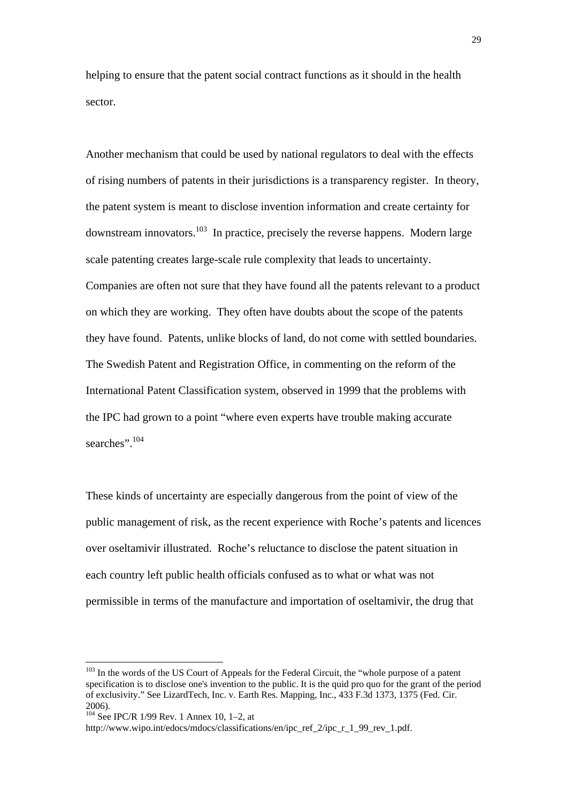helping to ensure that the patent social contract functions as it should in the health sector.

Another mechanism that could be used by national regulators to deal with the effects of rising numbers of patents in their jurisdictions is a transparency register. In theory, the patent system is meant to disclose invention information and create certainty for downstream innovators.<sup>103</sup> In practice, precisely the reverse happens. Modern large scale patenting creates large-scale rule complexity that leads to uncertainty. Companies are often not sure that they have found all the patents relevant to a product on which they are working. They often have doubts about the scope of the patents they have found. Patents, unlike blocks of land, do not come with settled boundaries. The Swedish Patent and Registration Office, in commenting on the reform of the International Patent Classification system, observed in 1999 that the problems with the IPC had grown to a point "where even experts have trouble making accurate searches".<sup>104</sup>

These kinds of uncertainty are especially dangerous from the point of view of the public management of risk, as the recent experience with Roche's patents and licences over oseltamivir illustrated. Roche's reluctance to disclose the patent situation in each country left public health officials confused as to what or what was not permissible in terms of the manufacture and importation of oseltamivir, the drug that

<span id="page-29-0"></span><sup>&</sup>lt;sup>103</sup> In the words of the US Court of Appeals for the Federal Circuit, the "whole purpose of a patent" specification is to disclose one's invention to the public. It is the quid pro quo for the grant of the period of exclusivity." See LizardTech, Inc. v. Earth Res. Mapping, Inc., 433 F.3d 1373, 1375 (Fed. Cir.

<span id="page-29-1"></span> $^{104}_{104}$  See IPC/R 1/99 Rev. 1 Annex 10, 1–2, at

http://www.wipo.int/edocs/mdocs/classifications/en/ipc\_ref\_2/ipc\_r\_1\_99\_rev\_1.pdf.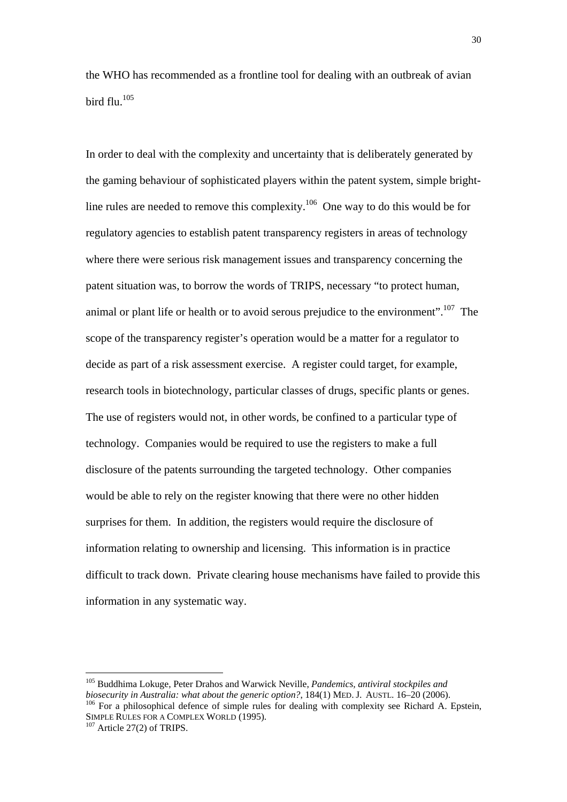the WHO has recommended as a frontline tool for dealing with an outbreak of avian bird flu. $105$ 

In order to deal with the complexity and uncertainty that is deliberately generated by the gaming behaviour of sophisticated players within the patent system, simple brightline rules are needed to remove this complexity.<sup>106</sup> One way to do this would be for regulatory agencies to establish patent transparency registers in areas of technology where there were serious risk management issues and transparency concerning the patent situation was, to borrow the words of TRIPS, necessary "to protect human, animal or plant life or health or to avoid serous prejudice to the environment".<sup>107</sup> The scope of the transparency register's operation would be a matter for a regulator to decide as part of a risk assessment exercise. A register could target, for example, research tools in biotechnology, particular classes of drugs, specific plants or genes. The use of registers would not, in other words, be confined to a particular type of technology. Companies would be required to use the registers to make a full disclosure of the patents surrounding the targeted technology. Other companies would be able to rely on the register knowing that there were no other hidden surprises for them. In addition, the registers would require the disclosure of information relating to ownership and licensing. This information is in practice difficult to track down. Private clearing house mechanisms have failed to provide this information in any systematic way.

<span id="page-30-0"></span><sup>105</sup> Buddhima Lokuge, Peter Drahos and Warwick Neville, *Pandemics, antiviral stockpiles and biosecurity in Australia: what about the generic option?*, 184(1) MED. J. AUSTL. 16–20 (2006).<br><sup>106</sup> For a philosophical defence of simple rules for dealing with complexity see Richard A. Epstein,

<span id="page-30-1"></span>SIMPLE RULES FOR A COMPLEX WORLD (1995).<br><sup>107</sup> Article 27(2) of TRIPS.

<span id="page-30-2"></span>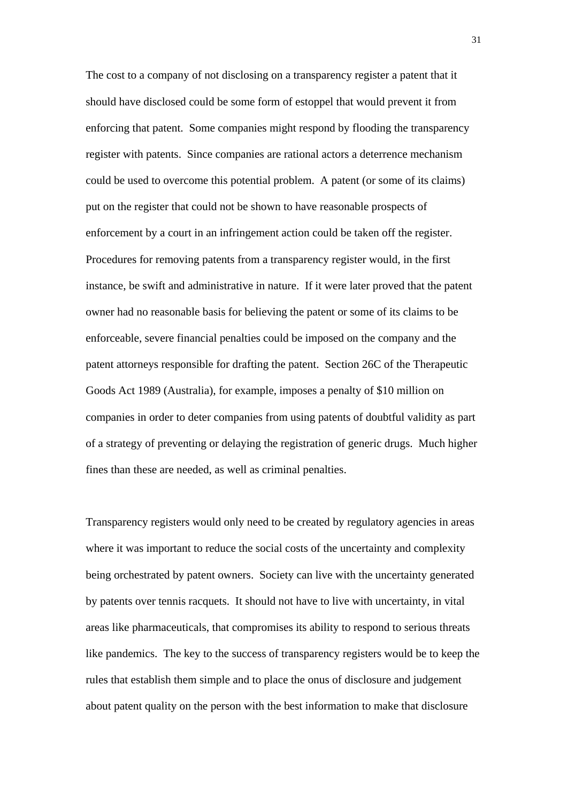The cost to a company of not disclosing on a transparency register a patent that it should have disclosed could be some form of estoppel that would prevent it from enforcing that patent. Some companies might respond by flooding the transparency register with patents. Since companies are rational actors a deterrence mechanism could be used to overcome this potential problem. A patent (or some of its claims) put on the register that could not be shown to have reasonable prospects of enforcement by a court in an infringement action could be taken off the register. Procedures for removing patents from a transparency register would, in the first instance, be swift and administrative in nature. If it were later proved that the patent owner had no reasonable basis for believing the patent or some of its claims to be enforceable, severe financial penalties could be imposed on the company and the patent attorneys responsible for drafting the patent. Section 26C of the Therapeutic Goods Act 1989 (Australia), for example, imposes a penalty of \$10 million on companies in order to deter companies from using patents of doubtful validity as part of a strategy of preventing or delaying the registration of generic drugs. Much higher fines than these are needed, as well as criminal penalties.

Transparency registers would only need to be created by regulatory agencies in areas where it was important to reduce the social costs of the uncertainty and complexity being orchestrated by patent owners. Society can live with the uncertainty generated by patents over tennis racquets. It should not have to live with uncertainty, in vital areas like pharmaceuticals, that compromises its ability to respond to serious threats like pandemics. The key to the success of transparency registers would be to keep the rules that establish them simple and to place the onus of disclosure and judgement about patent quality on the person with the best information to make that disclosure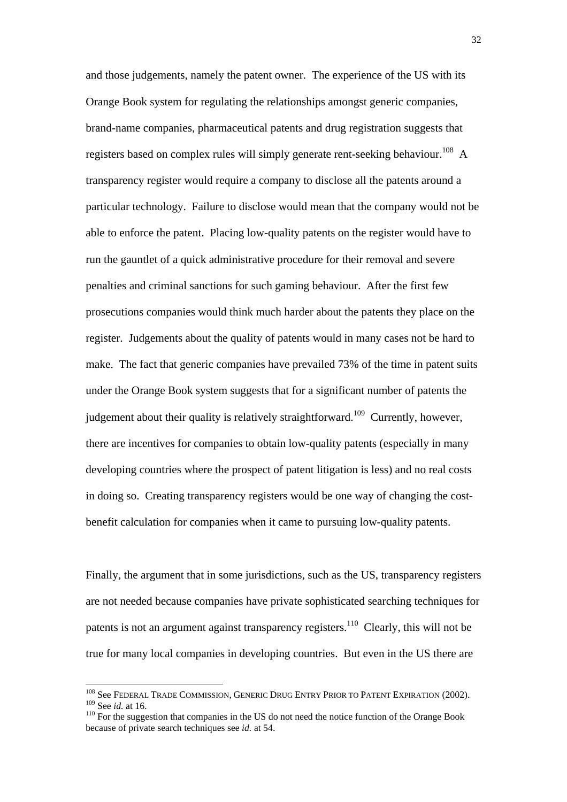and those judgements, namely the patent owner. The experience of the US with its Orange Book system for regulating the relationships amongst generic companies, brand-name companies, pharmaceutical patents and drug registration suggests that registers based on complex rules will simply generate rent-seeking behaviour.<sup>108</sup> A transparency register would require a company to disclose all the patents around a particular technology. Failure to disclose would mean that the company would not be able to enforce the patent. Placing low-quality patents on the register would have to run the gauntlet of a quick administrative procedure for their removal and severe penalties and criminal sanctions for such gaming behaviour. After the first few prosecutions companies would think much harder about the patents they place on the register. Judgements about the quality of patents would in many cases not be hard to make. The fact that generic companies have prevailed 73% of the time in patent suits under the Orange Book system suggests that for a significant number of patents the judgement about their quality is relatively straightforward.<sup>109</sup> Currently, however, there are incentives for companies to obtain low-quality patents (especially in many developing countries where the prospect of patent litigation is less) and no real costs in doing so. Creating transparency registers would be one way of changing the costbenefit calculation for companies when it came to pursuing low-quality patents.

Finally, the argument that in some jurisdictions, such as the US, transparency registers are not needed because companies have private sophisticated searching techniques for patents is not an argument against transparency registers.<sup>110</sup> Clearly, this will not be true for many local companies in developing countries. But even in the US there are

<span id="page-32-1"></span><span id="page-32-0"></span><sup>&</sup>lt;sup>108</sup> See FEDERAL TRADE COMMISSION, GENERIC DRUG ENTRY PRIOR TO PATENT EXPIRATION (2002). 109 See *id.* at 16.<br><sup>110</sup> See *id.* at 16.<br><sup>110</sup> For the suggestion that companies in the US do not need the notice function of the Orange Book

<span id="page-32-2"></span>because of private search techniques see *id.* at 54.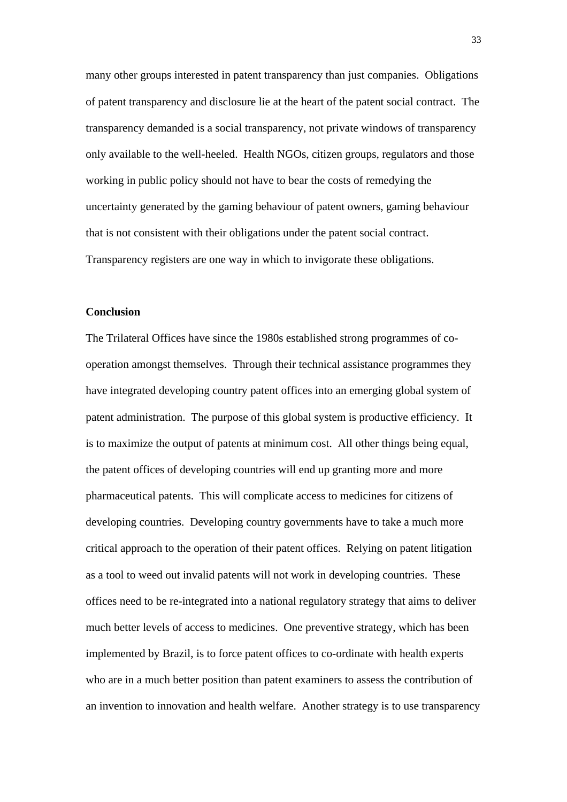many other groups interested in patent transparency than just companies. Obligations of patent transparency and disclosure lie at the heart of the patent social contract. The transparency demanded is a social transparency, not private windows of transparency only available to the well-heeled. Health NGOs, citizen groups, regulators and those working in public policy should not have to bear the costs of remedying the uncertainty generated by the gaming behaviour of patent owners, gaming behaviour that is not consistent with their obligations under the patent social contract. Transparency registers are one way in which to invigorate these obligations.

## **Conclusion**

The Trilateral Offices have since the 1980s established strong programmes of cooperation amongst themselves. Through their technical assistance programmes they have integrated developing country patent offices into an emerging global system of patent administration. The purpose of this global system is productive efficiency. It is to maximize the output of patents at minimum cost. All other things being equal, the patent offices of developing countries will end up granting more and more pharmaceutical patents. This will complicate access to medicines for citizens of developing countries. Developing country governments have to take a much more critical approach to the operation of their patent offices. Relying on patent litigation as a tool to weed out invalid patents will not work in developing countries. These offices need to be re-integrated into a national regulatory strategy that aims to deliver much better levels of access to medicines. One preventive strategy, which has been implemented by Brazil, is to force patent offices to co-ordinate with health experts who are in a much better position than patent examiners to assess the contribution of an invention to innovation and health welfare. Another strategy is to use transparency